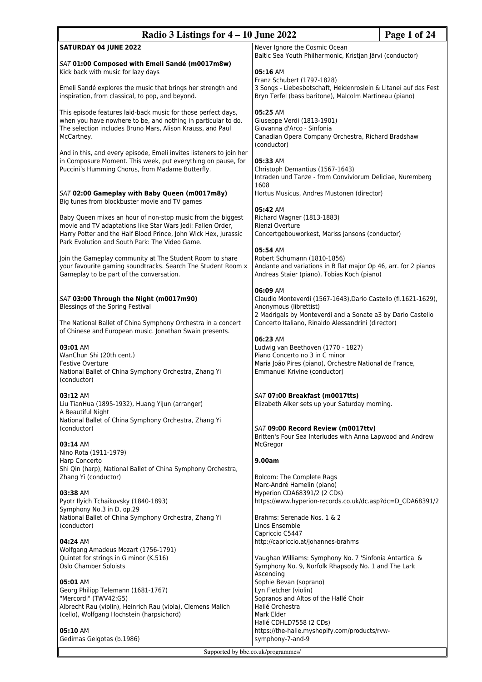| Radio 3 Listings for $4 - 10$ June 2022                                                                                                                                                                                                         |                                                                                                                                                                     | Page 1 of 24 |
|-------------------------------------------------------------------------------------------------------------------------------------------------------------------------------------------------------------------------------------------------|---------------------------------------------------------------------------------------------------------------------------------------------------------------------|--------------|
| <b>SATURDAY 04 JUNE 2022</b>                                                                                                                                                                                                                    | Never Ignore the Cosmic Ocean<br>Baltic Sea Youth Philharmonic, Kristjan Järvi (conductor)                                                                          |              |
| SAT 01:00 Composed with Emeli Sandé (m0017m8w)<br>Kick back with music for lazy days<br>Emeli Sandé explores the music that brings her strength and                                                                                             | 05:16 AM<br>Franz Schubert (1797-1828)<br>3 Songs - Liebesbotschaft, Heidenroslein & Litanei auf das Fest                                                           |              |
| inspiration, from classical, to pop, and beyond.                                                                                                                                                                                                | Bryn Terfel (bass baritone), Malcolm Martineau (piano)                                                                                                              |              |
| This episode features laid-back music for those perfect days,<br>when you have nowhere to be, and nothing in particular to do.<br>The selection includes Bruno Mars, Alison Krauss, and Paul<br>McCartney.                                      | 05:25 AM<br>Giuseppe Verdi (1813-1901)<br>Giovanna d'Arco - Sinfonia<br>Canadian Opera Company Orchestra, Richard Bradshaw<br>(conductor)                           |              |
| And in this, and every episode, Emeli invites listeners to join her<br>in Composure Moment. This week, put everything on pause, for<br>Puccini's Humming Chorus, from Madame Butterfly.                                                         | 05:33 AM<br>Christoph Demantius (1567-1643)<br>Intraden und Tanze - from Conviviorum Deliciae, Nuremberg<br>1608                                                    |              |
| SAT 02:00 Gameplay with Baby Queen (m0017m8y)<br>Big tunes from blockbuster movie and TV games                                                                                                                                                  | Hortus Musicus, Andres Mustonen (director)<br>05:42 AM                                                                                                              |              |
| Baby Queen mixes an hour of non-stop music from the biggest<br>movie and TV adaptations like Star Wars Jedi: Fallen Order,<br>Harry Potter and the Half Blood Prince, John Wick Hex, Jurassic<br>Park Evolution and South Park: The Video Game. | Richard Wagner (1813-1883)<br>Rienzi Overture<br>Concertgebouworkest, Mariss Jansons (conductor)                                                                    |              |
| Join the Gameplay community at The Student Room to share<br>your favourite gaming soundtracks. Search The Student Room x<br>Gameplay to be part of the conversation.                                                                            | 05:54 AM<br>Robert Schumann (1810-1856)<br>Andante and variations in B flat major Op 46, arr. for 2 pianos<br>Andreas Staier (piano), Tobias Koch (piano)           |              |
| SAT 03:00 Through the Night (m0017m90)<br>Blessings of the Spring Festival                                                                                                                                                                      | 06:09 AM<br>Claudio Monteverdi (1567-1643), Dario Castello (fl.1621-1629),<br>Anonymous (librettist)<br>2 Madrigals by Monteverdi and a Sonate a3 by Dario Castello |              |
| The National Ballet of China Symphony Orchestra in a concert<br>of Chinese and European music. Jonathan Swain presents.                                                                                                                         | Concerto Italiano, Rinaldo Alessandrini (director)<br>06:23 AM                                                                                                      |              |
| 03:01 AM<br>WanChun Shi (20th cent.)<br><b>Festive Overture</b><br>National Ballet of China Symphony Orchestra, Zhang Yi<br>(conductor)                                                                                                         | Ludwig van Beethoven (1770 - 1827)<br>Piano Concerto no 3 in C minor<br>Maria João Pires (piano), Orchestre National de France,<br>Emmanuel Krivine (conductor)     |              |
| 03:12 AM<br>Liu TianHua (1895-1932), Huang Yilun (arranger)<br>A Beautiful Night                                                                                                                                                                | SAT 07:00 Breakfast (m0017tts)<br>Elizabeth Alker sets up your Saturday morning.                                                                                    |              |
| National Ballet of China Symphony Orchestra, Zhang Yi<br>(conductor)<br>03:14 AM                                                                                                                                                                | SAT 09:00 Record Review (m0017ttv)<br>Britten's Four Sea Interludes with Anna Lapwood and Andrew<br>McGregor                                                        |              |
| Nino Rota (1911-1979)<br>Harp Concerto                                                                                                                                                                                                          | 9.00am                                                                                                                                                              |              |
| Shi Qin (harp), National Ballet of China Symphony Orchestra,<br>Zhang Yi (conductor)                                                                                                                                                            | Bolcom: The Complete Rags<br>Marc-André Hamelin (piano)                                                                                                             |              |
| 03:38 AM<br>Pyotr Ilyich Tchaikovsky (1840-1893)<br>Symphony No.3 in D, op.29                                                                                                                                                                   | Hyperion CDA68391/2 (2 CDs)<br>https://www.hyperion-records.co.uk/dc.asp?dc=D_CDA68391/2                                                                            |              |
| National Ballet of China Symphony Orchestra, Zhang Yi<br>(conductor)                                                                                                                                                                            | Brahms: Serenade Nos. 1 & 2<br>Linos Ensemble<br>Capriccio C5447                                                                                                    |              |
| 04:24 AM<br>Wolfgang Amadeus Mozart (1756-1791)<br>Quintet for strings in G minor (K.516)<br>Oslo Chamber Soloists                                                                                                                              | http://capriccio.at/johannes-brahms<br>Vaughan Williams: Symphony No. 7 'Sinfonia Antartica' &<br>Symphony No. 9, Norfolk Rhapsody No. 1 and The Lark<br>Ascending  |              |
| 05:01 AM<br>Georg Philipp Telemann (1681-1767)<br>"Mercordi" (TWV42:G5)                                                                                                                                                                         | Sophie Bevan (soprano)<br>Lyn Fletcher (violin)<br>Sopranos and Altos of the Hallé Choir                                                                            |              |
| Albrecht Rau (violin), Heinrich Rau (viola), Clemens Malich<br>(cello), Wolfgang Hochstein (harpsichord)                                                                                                                                        | Hallé Orchestra<br>Mark Elder<br>Hallé CDHLD7558 (2 CDs)                                                                                                            |              |
| 05:10 AM<br>Gedimas Gelgotas (b.1986)                                                                                                                                                                                                           | https://the-halle.myshopify.com/products/rvw-<br>symphony-7-and-9                                                                                                   |              |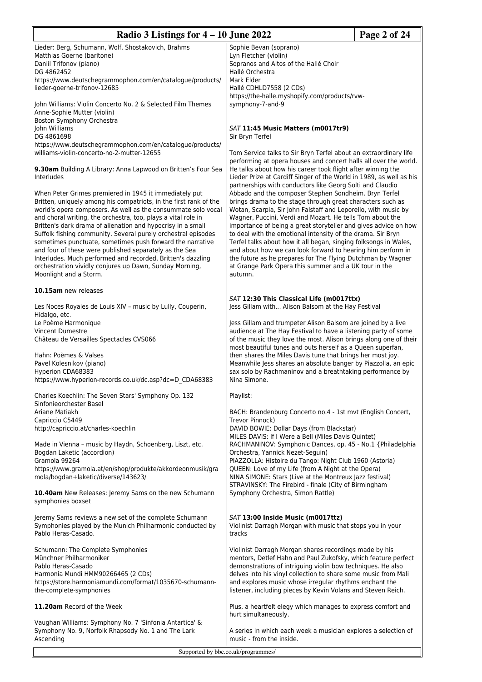| Radio 3 Listings for $4 - 10$ June 2022<br>Page 2 of 24                                                                                                                                                                                                                                                                                                                                                                                                                                                              |                                                                                                                                                                                                                                                                                                                                                                                                                                                                                                                         |  |
|----------------------------------------------------------------------------------------------------------------------------------------------------------------------------------------------------------------------------------------------------------------------------------------------------------------------------------------------------------------------------------------------------------------------------------------------------------------------------------------------------------------------|-------------------------------------------------------------------------------------------------------------------------------------------------------------------------------------------------------------------------------------------------------------------------------------------------------------------------------------------------------------------------------------------------------------------------------------------------------------------------------------------------------------------------|--|
| Lieder: Berg, Schumann, Wolf, Shostakovich, Brahms<br>Matthias Goerne (baritone)<br>Daniil Trifonov (piano)<br>DG 4862452                                                                                                                                                                                                                                                                                                                                                                                            | Sophie Bevan (soprano)<br>Lyn Fletcher (violin)<br>Sopranos and Altos of the Hallé Choir<br>Hallé Orchestra                                                                                                                                                                                                                                                                                                                                                                                                             |  |
| https://www.deutschegrammophon.com/en/catalogue/products/<br>lieder-goerne-trifonov-12685                                                                                                                                                                                                                                                                                                                                                                                                                            | Mark Elder<br>Hallé CDHLD7558 (2 CDs)<br>https://the-halle.myshopify.com/products/rvw-                                                                                                                                                                                                                                                                                                                                                                                                                                  |  |
| John Williams: Violin Concerto No. 2 & Selected Film Themes<br>Anne-Sophie Mutter (violin)<br>Boston Symphony Orchestra                                                                                                                                                                                                                                                                                                                                                                                              | symphony-7-and-9                                                                                                                                                                                                                                                                                                                                                                                                                                                                                                        |  |
| John Williams<br>DG 4861698                                                                                                                                                                                                                                                                                                                                                                                                                                                                                          | SAT 11:45 Music Matters (m0017tr9)<br>Sir Bryn Terfel                                                                                                                                                                                                                                                                                                                                                                                                                                                                   |  |
| https://www.deutschegrammophon.com/en/catalogue/products/<br>williams-violin-concerto-no-2-mutter-12655                                                                                                                                                                                                                                                                                                                                                                                                              | Tom Service talks to Sir Bryn Terfel about an extraordinary life                                                                                                                                                                                                                                                                                                                                                                                                                                                        |  |
| 9.30am Building A Library: Anna Lapwood on Britten's Four Sea<br>Interludes                                                                                                                                                                                                                                                                                                                                                                                                                                          | performing at opera houses and concert halls all over the world.<br>He talks about how his career took flight after winning the<br>Lieder Prize at Cardiff Singer of the World in 1989, as well as his<br>partnerships with conductors like Georg Solti and Claudio                                                                                                                                                                                                                                                     |  |
| When Peter Grimes premiered in 1945 it immediately put<br>Britten, uniquely among his compatriots, in the first rank of the<br>world's opera composers. As well as the consummate solo vocal<br>and choral writing, the orchestra, too, plays a vital role in<br>Britten's dark drama of alienation and hypocrisy in a small<br>Suffolk fishing community. Several purely orchestral episodes<br>sometimes punctuate, sometimes push forward the narrative<br>and four of these were published separately as the Sea | Abbado and the composer Stephen Sondheim. Bryn Terfel<br>brings drama to the stage through great characters such as<br>Wotan, Scarpia, Sir John Falstaff and Leporello, with music by<br>Wagner, Puccini, Verdi and Mozart. He tells Tom about the<br>importance of being a great storyteller and gives advice on how<br>to deal with the emotional intensity of the drama. Sir Bryn<br>Terfel talks about how it all began, singing folksongs in Wales,<br>and about how we can look forward to hearing him perform in |  |
| Interludes. Much performed and recorded, Britten's dazzling<br>orchestration vividly conjures up Dawn, Sunday Morning,<br>Moonlight and a Storm.                                                                                                                                                                                                                                                                                                                                                                     | the future as he prepares for The Flying Dutchman by Wagner<br>at Grange Park Opera this summer and a UK tour in the<br>autumn.                                                                                                                                                                                                                                                                                                                                                                                         |  |
| 10.15am new releases                                                                                                                                                                                                                                                                                                                                                                                                                                                                                                 | SAT 12:30 This Classical Life (m0017ttx)                                                                                                                                                                                                                                                                                                                                                                                                                                                                                |  |
| Les Noces Royales de Louis XIV - music by Lully, Couperin,<br>Hidalgo, etc.                                                                                                                                                                                                                                                                                                                                                                                                                                          | Jess Gillam with Alison Balsom at the Hay Festival                                                                                                                                                                                                                                                                                                                                                                                                                                                                      |  |
| Le Poème Harmonique<br><b>Vincent Dumestre</b><br>Château de Versailles Spectacles CVS066                                                                                                                                                                                                                                                                                                                                                                                                                            | Jess Gillam and trumpeter Alison Balsom are joined by a live<br>audience at The Hay Festival to have a listening party of some<br>of the music they love the most. Alison brings along one of their<br>most beautiful tunes and outs herself as a Queen superfan,                                                                                                                                                                                                                                                       |  |
| Hahn: Poèmes & Valses<br>Pavel Kolesnikov (piano)<br>Hyperion CDA68383<br>https://www.hyperion-records.co.uk/dc.asp?dc=D CDA68383                                                                                                                                                                                                                                                                                                                                                                                    | then shares the Miles Davis tune that brings her most joy.<br>Meanwhile Jess shares an absolute banger by Piazzolla, an epic<br>sax solo by Rachmaninov and a breathtaking performance by<br>Nina Simone.                                                                                                                                                                                                                                                                                                               |  |
| Charles Koechlin: The Seven Stars' Symphony Op. 132<br>Sinfonieorchester Basel                                                                                                                                                                                                                                                                                                                                                                                                                                       | Playlist:                                                                                                                                                                                                                                                                                                                                                                                                                                                                                                               |  |
| Ariane Matiakh<br>Capriccio C5449                                                                                                                                                                                                                                                                                                                                                                                                                                                                                    | BACH: Brandenburg Concerto no.4 - 1st mvt (English Concert,<br>Trevor Pinnock)                                                                                                                                                                                                                                                                                                                                                                                                                                          |  |
| http://capriccio.at/charles-koechlin<br>Made in Vienna - music by Haydn, Schoenberg, Liszt, etc.                                                                                                                                                                                                                                                                                                                                                                                                                     | DAVID BOWIE: Dollar Days (from Blackstar)<br>MILES DAVIS: If I Were a Bell (Miles Davis Quintet)<br>RACHMANINOV: Symphonic Dances, op. 45 - No.1 {Philadelphia                                                                                                                                                                                                                                                                                                                                                          |  |
| Bogdan Laketic (accordion)<br>Gramola 99264                                                                                                                                                                                                                                                                                                                                                                                                                                                                          | Orchestra, Yannick Nezet-Seguin)<br>PIAZZOLLA: Histoire du Tango: Night Club 1960 (Astoria)                                                                                                                                                                                                                                                                                                                                                                                                                             |  |
| https://www.gramola.at/en/shop/produkte/akkordeonmusik/gra<br>mola/bogdan+laketic/diverse/143623/                                                                                                                                                                                                                                                                                                                                                                                                                    | QUEEN: Love of my Life (from A Night at the Opera)<br>NINA SIMONE: Stars (Live at the Montreux Jazz festival)<br>STRAVINSKY: The Firebird - finale (City of Birmingham                                                                                                                                                                                                                                                                                                                                                  |  |
| 10.40am New Releases: Jeremy Sams on the new Schumann<br>symphonies boxset                                                                                                                                                                                                                                                                                                                                                                                                                                           | Symphony Orchestra, Simon Rattle)                                                                                                                                                                                                                                                                                                                                                                                                                                                                                       |  |
| Jeremy Sams reviews a new set of the complete Schumann<br>Symphonies played by the Munich Philharmonic conducted by<br>Pablo Heras-Casado.                                                                                                                                                                                                                                                                                                                                                                           | SAT 13:00 Inside Music (m0017ttz)<br>Violinist Darragh Morgan with music that stops you in your<br>tracks                                                                                                                                                                                                                                                                                                                                                                                                               |  |
| Schumann: The Complete Symphonies<br>Münchner Philharmoniker<br>Pablo Heras-Casado<br>Harmonia Mundi HMM90266465 (2 CDs)<br>https://store.harmoniamundi.com/format/1035670-schumann-<br>the-complete-symphonies                                                                                                                                                                                                                                                                                                      | Violinist Darragh Morgan shares recordings made by his<br>mentors, Detlef Hahn and Paul Zukofsky, which feature perfect<br>demonstrations of intriguing violin bow techniques. He also<br>delves into his vinyl collection to share some music from Mali<br>and explores music whose irregular rhythms enchant the<br>listener, including pieces by Kevin Volans and Steven Reich.                                                                                                                                      |  |
| 11.20am Record of the Week                                                                                                                                                                                                                                                                                                                                                                                                                                                                                           | Plus, a heartfelt elegy which manages to express comfort and<br>hurt simultaneously.                                                                                                                                                                                                                                                                                                                                                                                                                                    |  |
| Vaughan Williams: Symphony No. 7 'Sinfonia Antartica' &<br>Symphony No. 9, Norfolk Rhapsody No. 1 and The Lark<br>Ascending                                                                                                                                                                                                                                                                                                                                                                                          | A series in which each week a musician explores a selection of<br>music - from the inside.                                                                                                                                                                                                                                                                                                                                                                                                                              |  |
| Supported by bbc.co.uk/programmes/                                                                                                                                                                                                                                                                                                                                                                                                                                                                                   |                                                                                                                                                                                                                                                                                                                                                                                                                                                                                                                         |  |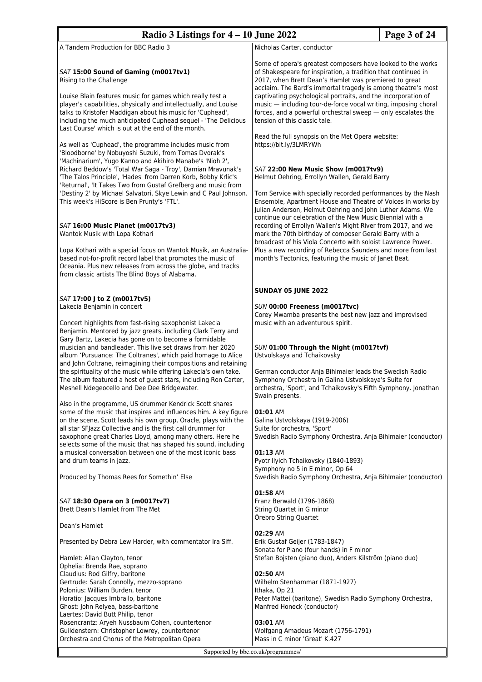| Page 3 of 24<br>Radio 3 Listings for $4 - 10$ June 2022                                                                                                                                                                                                                                                                                                                                                                                                                                                                                                                                                                                                                                                                                                                                                                                                                                                                                                                                                                                  |                                                                                                                                                                                                                                                                                                                                                                                                                                                                                                                                                             |  |
|------------------------------------------------------------------------------------------------------------------------------------------------------------------------------------------------------------------------------------------------------------------------------------------------------------------------------------------------------------------------------------------------------------------------------------------------------------------------------------------------------------------------------------------------------------------------------------------------------------------------------------------------------------------------------------------------------------------------------------------------------------------------------------------------------------------------------------------------------------------------------------------------------------------------------------------------------------------------------------------------------------------------------------------|-------------------------------------------------------------------------------------------------------------------------------------------------------------------------------------------------------------------------------------------------------------------------------------------------------------------------------------------------------------------------------------------------------------------------------------------------------------------------------------------------------------------------------------------------------------|--|
| A Tandem Production for BBC Radio 3                                                                                                                                                                                                                                                                                                                                                                                                                                                                                                                                                                                                                                                                                                                                                                                                                                                                                                                                                                                                      | Nicholas Carter, conductor                                                                                                                                                                                                                                                                                                                                                                                                                                                                                                                                  |  |
| SAT 15:00 Sound of Gaming (m0017tv1)<br>Rising to the Challenge<br>Louise Blain features music for games which really test a<br>player's capabilities, physically and intellectually, and Louise<br>talks to Kristofer Maddigan about his music for 'Cuphead',<br>including the much anticipated Cuphead sequel - 'The Delicious<br>Last Course' which is out at the end of the month.                                                                                                                                                                                                                                                                                                                                                                                                                                                                                                                                                                                                                                                   | Some of opera's greatest composers have looked to the works<br>of Shakespeare for inspiration, a tradition that continued in<br>2017, when Brett Dean's Hamlet was premiered to great<br>acclaim. The Bard's immortal tragedy is among theatre's most<br>captivating psychological portraits, and the incorporation of<br>music - including tour-de-force vocal writing, imposing choral<br>forces, and a powerful orchestral sweep - only escalates the<br>tension of this classic tale.                                                                   |  |
| As well as 'Cuphead', the programme includes music from<br>'Bloodborne' by Nobuyoshi Suzuki, from Tomas Dvorak's<br>'Machinarium', Yugo Kanno and Akihiro Manabe's 'Nioh 2',<br>Richard Beddow's 'Total War Saga - Troy', Damian Mravunak's<br>'The Talos Principle', 'Hades' from Darren Korb, Bobby Krlic's<br>'Returnal', 'It Takes Two from Gustaf Grefberg and music from<br>'Destiny 2' by Michael Salvatori, Skye Lewin and C Paul Johnson.<br>This week's HiScore is Ben Prunty's 'FTL'.                                                                                                                                                                                                                                                                                                                                                                                                                                                                                                                                         | Read the full synopsis on the Met Opera website:<br>https://bit.ly/3LMRYWh<br>SAT 22:00 New Music Show (m0017tv9)<br>Helmut Oehring, Errollyn Wallen, Gerald Barry<br>Tom Service with specially recorded performances by the Nash<br>Ensemble, Apartment House and Theatre of Voices in works by<br>Julian Anderson, Helmut Oehring and John Luther Adams. We<br>continue our celebration of the New Music Biennial with a                                                                                                                                 |  |
| SAT 16:00 Music Planet (m0017tv3)<br>Wantok Musik with Lopa Kothari<br>Lopa Kothari with a special focus on Wantok Musik, an Australia-<br>based not-for-profit record label that promotes the music of<br>Oceania. Plus new releases from across the globe, and tracks<br>from classic artists The Blind Boys of Alabama.                                                                                                                                                                                                                                                                                                                                                                                                                                                                                                                                                                                                                                                                                                               | recording of Errollyn Wallen's Might River from 2017, and we<br>mark the 70th birthday of composer Gerald Barry with a<br>broadcast of his Viola Concerto with soloist Lawrence Power.<br>Plus a new recording of Rebecca Saunders and more from last<br>month's Tectonics, featuring the music of Janet Beat.                                                                                                                                                                                                                                              |  |
|                                                                                                                                                                                                                                                                                                                                                                                                                                                                                                                                                                                                                                                                                                                                                                                                                                                                                                                                                                                                                                          | <b>SUNDAY 05 JUNE 2022</b>                                                                                                                                                                                                                                                                                                                                                                                                                                                                                                                                  |  |
| SAT 17:00 J to Z (m0017tv5)<br>Lakecia Benjamin in concert<br>Concert highlights from fast-rising saxophonist Lakecia<br>Benjamin. Mentored by jazz greats, including Clark Terry and<br>Gary Bartz, Lakecia has gone on to become a formidable<br>musician and bandleader. This live set draws from her 2020<br>album 'Pursuance: The Coltranes', which paid homage to Alice<br>and John Coltrane, reimagining their compositions and retaining<br>the spirituality of the music while offering Lakecia's own take.<br>The album featured a host of guest stars, including Ron Carter,<br>Meshell Ndegeocello and Dee Dee Bridgewater.<br>Also in the programme, US drummer Kendrick Scott shares<br>some of the music that inspires and influences him. A key figure<br>on the scene, Scott leads his own group, Oracle, plays with the<br>all star SFJazz Collective and is the first call drummer for<br>saxophone great Charles Lloyd, among many others. Here he<br>selects some of the music that has shaped his sound, including | SUN 00:00 Freeness (m0017tvc)<br>Corey Mwamba presents the best new jazz and improvised<br>music with an adventurous spirit.<br>SUN 01:00 Through the Night (m0017tvf)<br>Ustvolskaya and Tchaikovsky<br>German conductor Anja Bihlmaier leads the Swedish Radio<br>Symphony Orchestra in Galina Ustvolskaya's Suite for<br>orchestra, 'Sport', and Tchaikovsky's Fifth Symphony. Jonathan<br>Swain presents.<br>01:01 AM<br>Galina Ustvolskaya (1919-2006)<br>Suite for orchestra, 'Sport'<br>Swedish Radio Symphony Orchestra, Anja Bihlmaier (conductor) |  |
| a musical conversation between one of the most iconic bass<br>and drum teams in jazz.<br>Produced by Thomas Rees for Somethin' Else                                                                                                                                                                                                                                                                                                                                                                                                                                                                                                                                                                                                                                                                                                                                                                                                                                                                                                      | 01:13 AM<br>Pyotr Ilyich Tchaikovsky (1840-1893)<br>Symphony no 5 in E minor, Op 64<br>Swedish Radio Symphony Orchestra, Anja Bihlmaier (conductor)                                                                                                                                                                                                                                                                                                                                                                                                         |  |
| SAT 18:30 Opera on 3 (m0017tv7)<br>Brett Dean's Hamlet from The Met                                                                                                                                                                                                                                                                                                                                                                                                                                                                                                                                                                                                                                                                                                                                                                                                                                                                                                                                                                      | 01:58 AM<br>Franz Berwald (1796-1868)<br>String Quartet in G minor<br>Örebro String Quartet                                                                                                                                                                                                                                                                                                                                                                                                                                                                 |  |
| Dean's Hamlet                                                                                                                                                                                                                                                                                                                                                                                                                                                                                                                                                                                                                                                                                                                                                                                                                                                                                                                                                                                                                            | 02:29 AM                                                                                                                                                                                                                                                                                                                                                                                                                                                                                                                                                    |  |
| Presented by Debra Lew Harder, with commentator Ira Siff.<br>Hamlet: Allan Clayton, tenor                                                                                                                                                                                                                                                                                                                                                                                                                                                                                                                                                                                                                                                                                                                                                                                                                                                                                                                                                | Erik Gustaf Geijer (1783-1847)<br>Sonata for Piano (four hands) in F minor<br>Stefan Bojsten (piano duo), Anders Kilström (piano duo)                                                                                                                                                                                                                                                                                                                                                                                                                       |  |
| Ophelia: Brenda Rae, soprano<br>Claudius: Rod Gilfry, baritone<br>Gertrude: Sarah Connolly, mezzo-soprano<br>Polonius: William Burden, tenor<br>Horatio: Jacques Imbrailo, baritone<br>Ghost: John Relyea, bass-baritone<br>Laertes: David Butt Philip, tenor<br>Rosencrantz: Aryeh Nussbaum Cohen, countertenor<br>Guildenstern: Christopher Lowrey, countertenor<br>Orchestra and Chorus of the Metropolitan Opera                                                                                                                                                                                                                                                                                                                                                                                                                                                                                                                                                                                                                     | 02:50 AM<br>Wilhelm Stenhammar (1871-1927)<br>Ithaka, Op 21<br>Peter Mattei (baritone), Swedish Radio Symphony Orchestra,<br>Manfred Honeck (conductor)<br>03:01 AM<br>Wolfgang Amadeus Mozart (1756-1791)<br>Mass in C minor 'Great' K.427                                                                                                                                                                                                                                                                                                                 |  |
| Supported by bbc.co.uk/programmes/                                                                                                                                                                                                                                                                                                                                                                                                                                                                                                                                                                                                                                                                                                                                                                                                                                                                                                                                                                                                       |                                                                                                                                                                                                                                                                                                                                                                                                                                                                                                                                                             |  |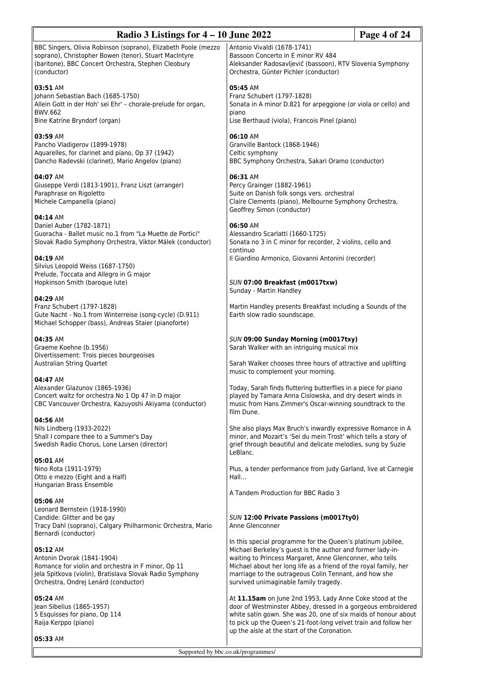| Radio 3 Listings for $4 - 10$ June 2022<br>Page 4 of 24                                                                                                                                          |                                                                                                                                                                                                                                                                                                                                                             |  |
|--------------------------------------------------------------------------------------------------------------------------------------------------------------------------------------------------|-------------------------------------------------------------------------------------------------------------------------------------------------------------------------------------------------------------------------------------------------------------------------------------------------------------------------------------------------------------|--|
| BBC Singers, Olivia Robinson (soprano), Elizabeth Poole (mezzo<br>soprano), Christopher Bowen (tenor), Stuart MacIntyre<br>(baritone), BBC Concert Orchestra, Stephen Cleobury<br>(conductor)    | Antonio Vivaldi (1678-1741)<br>Bassoon Concerto in E minor RV 484<br>Aleksander Radosavljevič (bassoon), RTV Slovenia Symphony<br>Orchestra, Günter Pichler (conductor)                                                                                                                                                                                     |  |
| 03:51 AM<br>Johann Sebastian Bach (1685-1750)<br>Allein Gott in der Hoh' sei Ehr' - chorale-prelude for organ,<br>BWV.662<br>Bine Katrine Bryndorf (organ)                                       | 05:45 AM<br>Franz Schubert (1797-1828)<br>Sonata in A minor D.821 for arpeggione (or viola or cello) and<br>piano<br>Lise Berthaud (viola), Francois Pinel (piano)                                                                                                                                                                                          |  |
| 03:59 AM<br>Pancho Vladigerov (1899-1978)<br>Aquarelles, for clarinet and piano, Op 37 (1942)<br>Dancho Radevski (clarinet), Mario Angelov (piano)                                               | 06:10 AM<br>Granville Bantock (1868-1946)<br>Celtic symphony<br>BBC Symphony Orchestra, Sakari Oramo (conductor)                                                                                                                                                                                                                                            |  |
| 04:07 AM<br>Giuseppe Verdi (1813-1901), Franz Liszt (arranger)<br>Paraphrase on Rigoletto<br>Michele Campanella (piano)                                                                          | 06:31 AM<br>Percy Grainger (1882-1961)<br>Suite on Danish folk songs vers. orchestral<br>Claire Clements (piano), Melbourne Symphony Orchestra,<br>Geoffrey Simon (conductor)                                                                                                                                                                               |  |
| 04:14 AM<br>Daniel Auber (1782-1871)<br>Guoracha - Ballet music no.1 from "La Muette de Portici"<br>Slovak Radio Symphony Orchestra, Viktor Málek (conductor)                                    | 06:50 AM<br>Alessandro Scarlatti (1660-1725)<br>Sonata no 3 in C minor for recorder, 2 violins, cello and<br>continuo                                                                                                                                                                                                                                       |  |
| 04:19 AM<br>Silvius Leopold Weiss (1687-1750)<br>Prelude, Toccata and Allegro in G major<br>Hopkinson Smith (baroque lute)                                                                       | Il Giardino Armonico, Giovanni Antonini (recorder)<br>SUN 07:00 Breakfast (m0017txw)<br>Sunday - Martin Handley                                                                                                                                                                                                                                             |  |
| 04:29 AM<br>Franz Schubert (1797-1828)<br>Gute Nacht - No.1 from Winterreise (song-cycle) (D.911)<br>Michael Schopper (bass), Andreas Staier (pianoforte)                                        | Martin Handley presents Breakfast including a Sounds of the<br>Earth slow radio soundscape.                                                                                                                                                                                                                                                                 |  |
| 04:35 AM<br>Graeme Koehne (b.1956)<br>Divertissement: Trois pieces bourgeoises                                                                                                                   | SUN 09:00 Sunday Morning (m0017txy)<br>Sarah Walker with an intriguing musical mix                                                                                                                                                                                                                                                                          |  |
| Australian String Quartet                                                                                                                                                                        | Sarah Walker chooses three hours of attractive and uplifting<br>music to complement your morning.                                                                                                                                                                                                                                                           |  |
| 04:47 AM<br>Alexander Glazunov (1865-1936)<br>Concert waltz for orchestra No 1 Op 47 in D major<br>CBC Vancouver Orchestra, Kazuyoshi Akiyama (conductor)                                        | Today, Sarah finds fluttering butterflies in a piece for piano<br>played by Tamara Anna Cislowska, and dry desert winds in<br>music from Hans Zimmer's Oscar-winning soundtrack to the<br>film Dune.                                                                                                                                                        |  |
| 04:56 AM<br>Nils Lindberg (1933-2022)<br>Shall I compare thee to a Summer's Day<br>Swedish Radio Chorus, Lone Larsen (director)                                                                  | She also plays Max Bruch's inwardly expressive Romance in A<br>minor, and Mozart's 'Sei du mein Trost' which tells a story of<br>grief through beautiful and delicate melodies, sung by Suzie<br>LeBlanc.                                                                                                                                                   |  |
| 05:01 AM<br>Nino Rota (1911-1979)<br>Otto e mezzo (Eight and a Half)                                                                                                                             | Plus, a tender performance from Judy Garland, live at Carnegie<br>Hall                                                                                                                                                                                                                                                                                      |  |
| Hungarian Brass Ensemble<br>05:06 AM                                                                                                                                                             | A Tandem Production for BBC Radio 3                                                                                                                                                                                                                                                                                                                         |  |
| Leonard Bernstein (1918-1990)<br>Candide: Glitter and be gay<br>Tracy Dahl (soprano), Calgary Philharmonic Orchestra, Mario<br>Bernardi (conductor)                                              | SUN 12:00 Private Passions (m0017ty0)<br>Anne Glenconner                                                                                                                                                                                                                                                                                                    |  |
| 05:12 AM<br>Antonin Dvorak (1841-1904)<br>Romance for violin and orchestra in F minor, Op 11<br>Jela Spitkova (violin), Bratislava Slovak Radio Symphony<br>Orchestra, Ondrej Lenárd (conductor) | In this special programme for the Queen's platinum jubilee,<br>Michael Berkeley's guest is the author and former lady-in-<br>waiting to Princess Margaret, Anne Glenconner, who tells<br>Michael about her long life as a friend of the royal family, her<br>marriage to the outrageous Colin Tennant, and how she<br>survived unimaginable family tragedy. |  |
| 05:24 AM<br>Jean Sibelius (1865-1957)<br>5 Esquisses for piano, Op 114<br>Raija Kerppo (piano)                                                                                                   | At 11.15am on June 2nd 1953, Lady Anne Coke stood at the<br>door of Westminster Abbey, dressed in a gorgeous embroidered<br>white satin gown. She was 20, one of six maids of honour about<br>to pick up the Queen's 21-foot-long velvet train and follow her<br>up the aisle at the start of the Coronation.                                               |  |
| 05:33 AM                                                                                                                                                                                         |                                                                                                                                                                                                                                                                                                                                                             |  |
| Supported by bbc.co.uk/programmes/                                                                                                                                                               |                                                                                                                                                                                                                                                                                                                                                             |  |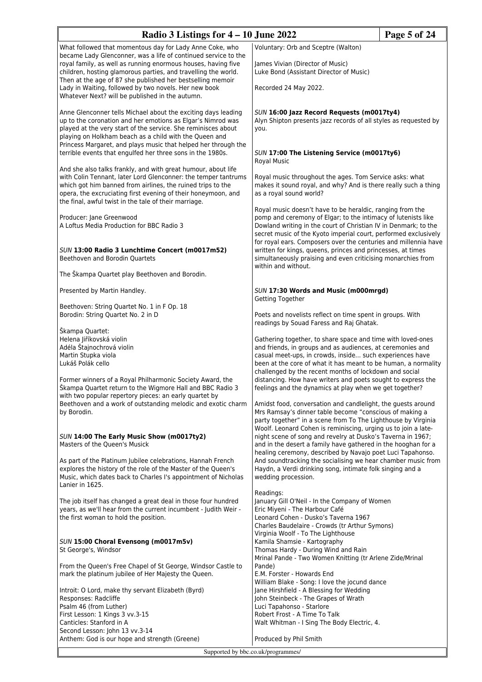| Radio 3 Listings for $4 - 10$ June 2022                                                                                                                                                                                                                                                                                                                                                 |                                                                                                                                                                                                                                                                                                                                     | Page 5 of 24 |
|-----------------------------------------------------------------------------------------------------------------------------------------------------------------------------------------------------------------------------------------------------------------------------------------------------------------------------------------------------------------------------------------|-------------------------------------------------------------------------------------------------------------------------------------------------------------------------------------------------------------------------------------------------------------------------------------------------------------------------------------|--------------|
| What followed that momentous day for Lady Anne Coke, who                                                                                                                                                                                                                                                                                                                                | Voluntary: Orb and Sceptre (Walton)                                                                                                                                                                                                                                                                                                 |              |
| became Lady Glenconner, was a life of continued service to the<br>royal family, as well as running enormous houses, having five<br>children, hosting glamorous parties, and travelling the world.<br>Then at the age of 87 she published her bestselling memoir                                                                                                                         | James Vivian (Director of Music)<br>Luke Bond (Assistant Director of Music)                                                                                                                                                                                                                                                         |              |
| Lady in Waiting, followed by two novels. Her new book<br>Whatever Next? will be published in the autumn.                                                                                                                                                                                                                                                                                | Recorded 24 May 2022.                                                                                                                                                                                                                                                                                                               |              |
| Anne Glenconner tells Michael about the exciting days leading<br>up to the coronation and her emotions as Elgar's Nimrod was<br>played at the very start of the service. She reminisces about<br>playing on Holkham beach as a child with the Queen and<br>Princess Margaret, and plays music that helped her through the<br>terrible events that engulfed her three sons in the 1980s. | SUN 16:00 Jazz Record Requests (m0017ty4)<br>Alyn Shipton presents jazz records of all styles as requested by<br>you.<br>SUN 17:00 The Listening Service (m0017ty6)                                                                                                                                                                 |              |
| And she also talks frankly, and with great humour, about life<br>with Colin Tennant, later Lord Glenconner: the temper tantrums<br>which got him banned from airlines, the ruined trips to the<br>opera, the excruciating first evening of their honeymoon, and<br>the final, awful twist in the tale of their marriage.                                                                | <b>Royal Music</b><br>Royal music throughout the ages. Tom Service asks: what<br>makes it sound royal, and why? And is there really such a thing<br>as a royal sound world?                                                                                                                                                         |              |
| Producer: Jane Greenwood<br>A Loftus Media Production for BBC Radio 3                                                                                                                                                                                                                                                                                                                   | Royal music doesn't have to be heraldic, ranging from the<br>pomp and ceremony of Elgar; to the intimacy of lutenists like<br>Dowland writing in the court of Christian IV in Denmark; to the<br>secret music of the Kyoto imperial court, performed exclusively<br>for royal ears. Composers over the centuries and millennia have |              |
| SUN 13:00 Radio 3 Lunchtime Concert (m0017m52)<br>Beethoven and Borodin Quartets                                                                                                                                                                                                                                                                                                        | written for kings, queens, princes and princesses, at times<br>simultaneously praising and even criticising monarchies from<br>within and without.                                                                                                                                                                                  |              |
| The Škampa Quartet play Beethoven and Borodin.                                                                                                                                                                                                                                                                                                                                          |                                                                                                                                                                                                                                                                                                                                     |              |
| Presented by Martin Handley.                                                                                                                                                                                                                                                                                                                                                            | SUN 17:30 Words and Music (m000mrgd)<br>Getting Together                                                                                                                                                                                                                                                                            |              |
| Beethoven: String Quartet No. 1 in F Op. 18<br>Borodin: String Quartet No. 2 in D                                                                                                                                                                                                                                                                                                       | Poets and novelists reflect on time spent in groups. With                                                                                                                                                                                                                                                                           |              |
| Škampa Quartet:                                                                                                                                                                                                                                                                                                                                                                         | readings by Souad Faress and Raj Ghatak.                                                                                                                                                                                                                                                                                            |              |
| Helena Jiříkovská violin                                                                                                                                                                                                                                                                                                                                                                | Gathering together, to share space and time with loved-ones                                                                                                                                                                                                                                                                         |              |
| Adéla Štajnochrová violin<br>Martin Stupka viola                                                                                                                                                                                                                                                                                                                                        | and friends, in groups and as audiences, at ceremonies and<br>casual meet-ups, in crowds, inside such experiences have                                                                                                                                                                                                              |              |
| Lukáš Polák cello                                                                                                                                                                                                                                                                                                                                                                       | been at the core of what it has meant to be human, a normality                                                                                                                                                                                                                                                                      |              |
|                                                                                                                                                                                                                                                                                                                                                                                         | challenged by the recent months of lockdown and social                                                                                                                                                                                                                                                                              |              |
| Former winners of a Royal Philharmonic Society Award, the<br>Škampa Quartet return to the Wigmore Hall and BBC Radio 3<br>with two popular repertory pieces: an early quartet by                                                                                                                                                                                                        | distancing. How have writers and poets sought to express the<br>feelings and the dynamics at play when we get together?                                                                                                                                                                                                             |              |
| Beethoven and a work of outstanding melodic and exotic charm<br>by Borodin.                                                                                                                                                                                                                                                                                                             | Amidst food, conversation and candlelight, the guests around<br>Mrs Ramsay's dinner table become "conscious of making a<br>party together" in a scene from To The Lighthouse by Virginia                                                                                                                                            |              |
| SUN 14:00 The Early Music Show (m0017ty2)                                                                                                                                                                                                                                                                                                                                               | Woolf. Leonard Cohen is reminiscing, urging us to join a late-<br>night scene of song and revelry at Dusko's Taverna in 1967;                                                                                                                                                                                                       |              |
| Masters of the Queen's Musick                                                                                                                                                                                                                                                                                                                                                           | and in the desert a family have gathered in the hooghan for a                                                                                                                                                                                                                                                                       |              |
|                                                                                                                                                                                                                                                                                                                                                                                         | healing ceremony, described by Navajo poet Luci Tapahonso.                                                                                                                                                                                                                                                                          |              |
| As part of the Platinum Jubilee celebrations, Hannah French<br>explores the history of the role of the Master of the Queen's<br>Music, which dates back to Charles I's appointment of Nicholas<br>Lanier in 1625.                                                                                                                                                                       | And soundtracking the socialising we hear chamber music from<br>Haydn, a Verdi drinking song, intimate folk singing and a<br>wedding procession.                                                                                                                                                                                    |              |
| The job itself has changed a great deal in those four hundred                                                                                                                                                                                                                                                                                                                           | Readings:<br>January Gill O'Neil - In the Company of Women                                                                                                                                                                                                                                                                          |              |
| years, as we'll hear from the current incumbent - Judith Weir -                                                                                                                                                                                                                                                                                                                         | Eric Miyeni - The Harbour Café                                                                                                                                                                                                                                                                                                      |              |
| the first woman to hold the position.                                                                                                                                                                                                                                                                                                                                                   | Leonard Cohen - Dusko's Taverna 1967                                                                                                                                                                                                                                                                                                |              |
|                                                                                                                                                                                                                                                                                                                                                                                         | Charles Baudelaire - Crowds (tr Arthur Symons)<br>Virginia Woolf - To The Lighthouse                                                                                                                                                                                                                                                |              |
| SUN 15:00 Choral Evensong (m0017m5v)                                                                                                                                                                                                                                                                                                                                                    | Kamila Shamsie - Kartography                                                                                                                                                                                                                                                                                                        |              |
| St George's, Windsor                                                                                                                                                                                                                                                                                                                                                                    | Thomas Hardy - During Wind and Rain                                                                                                                                                                                                                                                                                                 |              |
| From the Queen's Free Chapel of St George, Windsor Castle to                                                                                                                                                                                                                                                                                                                            | Mrinal Pande - Two Women Knitting (tr Arlene Zide/Mrinal<br>Pande)                                                                                                                                                                                                                                                                  |              |
| mark the platinum jubilee of Her Majesty the Queen.                                                                                                                                                                                                                                                                                                                                     | E.M. Forster - Howards End                                                                                                                                                                                                                                                                                                          |              |
|                                                                                                                                                                                                                                                                                                                                                                                         | William Blake - Song: I love the jocund dance                                                                                                                                                                                                                                                                                       |              |
| Introit: O Lord, make thy servant Elizabeth (Byrd)<br>Responses: Radcliffe                                                                                                                                                                                                                                                                                                              | Jane Hirshfield - A Blessing for Wedding<br>John Steinbeck - The Grapes of Wrath                                                                                                                                                                                                                                                    |              |
| Psalm 46 (from Luther)                                                                                                                                                                                                                                                                                                                                                                  | Luci Tapahonso - Starlore                                                                                                                                                                                                                                                                                                           |              |
| First Lesson: 1 Kings 3 vv.3-15                                                                                                                                                                                                                                                                                                                                                         | Robert Frost - A Time To Talk                                                                                                                                                                                                                                                                                                       |              |
| Canticles: Stanford in A<br>Second Lesson: John 13 vv.3-14                                                                                                                                                                                                                                                                                                                              | Walt Whitman - I Sing The Body Electric, 4.                                                                                                                                                                                                                                                                                         |              |
| Anthem: God is our hope and strength (Greene)                                                                                                                                                                                                                                                                                                                                           | Produced by Phil Smith                                                                                                                                                                                                                                                                                                              |              |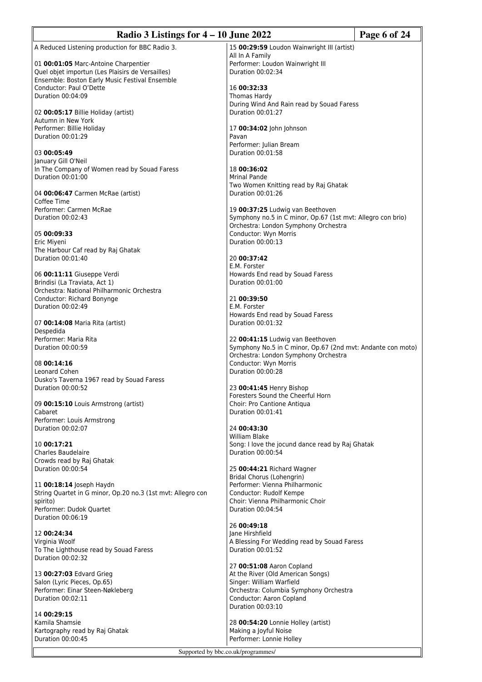| Radio 3 Listings for $4 - 10$ June 2022                                                            |                                                                                                     | Page 6 of 24 |
|----------------------------------------------------------------------------------------------------|-----------------------------------------------------------------------------------------------------|--------------|
| A Reduced Listening production for BBC Radio 3.                                                    | 15 00:29:59 Loudon Wainwright III (artist)                                                          |              |
| 01 00:01:05 Marc-Antoine Charpentier                                                               | All In A Family<br>Performer: Loudon Wainwright III                                                 |              |
| Quel objet importun (Les Plaisirs de Versailles)<br>Ensemble: Boston Early Music Festival Ensemble | Duration 00:02:34                                                                                   |              |
| Conductor: Paul O'Dette                                                                            | 16 00:32:33                                                                                         |              |
| Duration 00:04:09                                                                                  | Thomas Hardy<br>During Wind And Rain read by Souad Faress                                           |              |
| 02 00:05:17 Billie Holiday (artist)                                                                | Duration 00:01:27                                                                                   |              |
| Autumn in New York<br>Performer: Billie Holiday                                                    | 17 00:34:02 John Johnson                                                                            |              |
| Duration 00:01:29                                                                                  | Pavan                                                                                               |              |
| 03 00:05:49                                                                                        | Performer: Julian Bream<br>Duration 00:01:58                                                        |              |
| January Gill O'Neil                                                                                |                                                                                                     |              |
| In The Company of Women read by Souad Faress<br>Duration 00:01:00                                  | 18 00:36:02<br>Mrinal Pande                                                                         |              |
|                                                                                                    | Two Women Knitting read by Raj Ghatak                                                               |              |
| 04 00:06:47 Carmen McRae (artist)<br>Coffee Time                                                   | Duration 00:01:26                                                                                   |              |
| Performer: Carmen McRae                                                                            | 19 00:37:25 Ludwig van Beethoven                                                                    |              |
| Duration 00:02:43                                                                                  | Symphony no.5 in C minor, Op.67 (1st mvt: Allegro con brio)<br>Orchestra: London Symphony Orchestra |              |
| 05 00:09:33                                                                                        | Conductor: Wyn Morris                                                                               |              |
| Eric Miyeni<br>The Harbour Caf read by Raj Ghatak                                                  | Duration 00:00:13                                                                                   |              |
| Duration 00:01:40                                                                                  | 20 00:37:42                                                                                         |              |
| 06 00:11:11 Giuseppe Verdi                                                                         | E.M. Forster<br>Howards End read by Souad Faress                                                    |              |
| Brindisi (La Traviata, Act 1)                                                                      | Duration 00:01:00                                                                                   |              |
| Orchestra: National Philharmonic Orchestra<br>Conductor: Richard Bonynge                           | 21 00:39:50                                                                                         |              |
| Duration 00:02:49                                                                                  | E.M. Forster                                                                                        |              |
| 07 00:14:08 Maria Rita (artist)                                                                    | Howards End read by Souad Faress<br>Duration 00:01:32                                               |              |
| Despedida                                                                                          |                                                                                                     |              |
| Performer: Maria Rita<br>Duration 00:00:59                                                         | 22 00:41:15 Ludwig van Beethoven<br>Symphony No.5 in C minor, Op.67 (2nd mvt: Andante con moto)     |              |
|                                                                                                    | Orchestra: London Symphony Orchestra                                                                |              |
| 08 00:14:16<br>Leonard Cohen                                                                       | Conductor: Wyn Morris<br>Duration 00:00:28                                                          |              |
| Dusko's Taverna 1967 read by Souad Faress                                                          |                                                                                                     |              |
| Duration 00:00:52                                                                                  | 23 00:41:45 Henry Bishop<br>Foresters Sound the Cheerful Horn                                       |              |
| 09 00:15:10 Louis Armstrong (artist)                                                               | Choir: Pro Cantione Antiqua                                                                         |              |
| Cabaret<br>Performer: Louis Armstrong                                                              | Duration 00:01:41                                                                                   |              |
| Duration 00:02:07                                                                                  | 24 00:43:30                                                                                         |              |
| 10 00:17:21                                                                                        | William Blake<br>Song: I love the jocund dance read by Raj Ghatak                                   |              |
| Charles Baudelaire                                                                                 | Duration 00:00:54                                                                                   |              |
| Crowds read by Raj Ghatak<br>Duration 00:00:54                                                     | 25 00:44:21 Richard Wagner                                                                          |              |
|                                                                                                    | Bridal Chorus (Lohengrin)                                                                           |              |
| 11 00:18:14 Joseph Haydn<br>String Quartet in G minor, Op.20 no.3 (1st mvt: Allegro con            | Performer: Vienna Philharmonic<br>Conductor: Rudolf Kempe                                           |              |
| spirito)                                                                                           | Choir: Vienna Philharmonic Choir                                                                    |              |
| Performer: Dudok Quartet<br>Duration 00:06:19                                                      | Duration 00:04:54                                                                                   |              |
|                                                                                                    | 26 00:49:18                                                                                         |              |
| 12 00:24:34<br>Virginia Woolf                                                                      | Jane Hirshfield<br>A Blessing For Wedding read by Souad Faress                                      |              |
| To The Lighthouse read by Souad Faress                                                             | Duration 00:01:52                                                                                   |              |
| Duration 00:02:32                                                                                  | 27 00:51:08 Aaron Copland                                                                           |              |
| 13 00:27:03 Edvard Grieg                                                                           | At the River (Old American Songs)                                                                   |              |
| Salon (Lyric Pieces, Op.65)<br>Performer: Einar Steen-Nøkleberg                                    | Singer: William Warfield<br>Orchestra: Columbia Symphony Orchestra                                  |              |
| Duration 00:02:11                                                                                  | Conductor: Aaron Copland                                                                            |              |
| 14 00:29:15                                                                                        | Duration 00:03:10                                                                                   |              |
| Kamila Shamsie                                                                                     | 28 00:54:20 Lonnie Holley (artist)                                                                  |              |
| Kartography read by Raj Ghatak<br>Duration 00:00:45                                                | Making a Joyful Noise<br>Performer: Lonnie Holley                                                   |              |
|                                                                                                    | Supported by bbc.co.uk/programmes/                                                                  |              |
|                                                                                                    |                                                                                                     |              |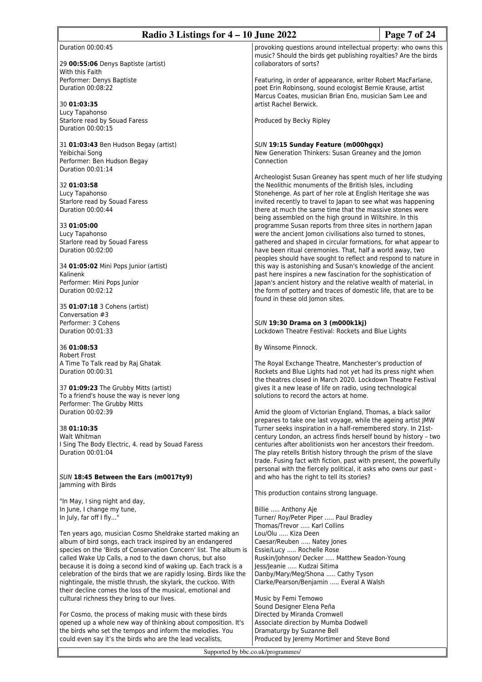| Page 7 of 24<br>Radio 3 Listings for 4 – 10 June 2022                                                                                |                                                                                                                                   |  |
|--------------------------------------------------------------------------------------------------------------------------------------|-----------------------------------------------------------------------------------------------------------------------------------|--|
| Duration 00:00:45                                                                                                                    | provoking questions around intellectual property: who owns this                                                                   |  |
|                                                                                                                                      | music? Should the birds get publishing royalties? Are the birds                                                                   |  |
| 29 00:55:06 Denys Baptiste (artist)<br>With this Faith                                                                               | collaborators of sorts?                                                                                                           |  |
| Performer: Denys Baptiste                                                                                                            | Featuring, in order of appearance, writer Robert MacFarlane,                                                                      |  |
| Duration 00:08:22                                                                                                                    | poet Erin Robinsong, sound ecologist Bernie Krause, artist<br>Marcus Coates, musician Brian Eno, musician Sam Lee and             |  |
| 30 01:03:35                                                                                                                          | artist Rachel Berwick.                                                                                                            |  |
| Lucy Tapahonso<br>Starlore read by Souad Faress                                                                                      | Produced by Becky Ripley                                                                                                          |  |
| Duration 00:00:15                                                                                                                    |                                                                                                                                   |  |
| 31 01:03:43 Ben Hudson Begay (artist)                                                                                                | SUN 19:15 Sunday Feature (m000hgqx)                                                                                               |  |
| Yeibichai Song                                                                                                                       | New Generation Thinkers: Susan Greaney and the Jomon                                                                              |  |
| Performer: Ben Hudson Begay<br>Duration 00:01:14                                                                                     | Connection                                                                                                                        |  |
|                                                                                                                                      | Archeologist Susan Greaney has spent much of her life studying                                                                    |  |
| 32 01:03:58                                                                                                                          | the Neolithic monuments of the British Isles, including<br>Stonehenge. As part of her role at English Heritage she was            |  |
| Lucy Tapahonso<br>Starlore read by Souad Faress                                                                                      | invited recently to travel to Japan to see what was happening                                                                     |  |
| Duration 00:00:44                                                                                                                    | there at much the same time that the massive stones were                                                                          |  |
|                                                                                                                                      | being assembled on the high ground in Wiltshire. In this                                                                          |  |
| 33 01:05:00                                                                                                                          | programme Susan reports from three sites in northern Japan                                                                        |  |
| Lucy Tapahonso<br>Starlore read by Souad Faress                                                                                      | were the ancient Jomon civilisations also turned to stones,<br>gathered and shaped in circular formations, for what appear to     |  |
| Duration 00:02:00                                                                                                                    | have been ritual ceremonies. That, half a world away, two                                                                         |  |
|                                                                                                                                      | peoples should have sought to reflect and respond to nature in                                                                    |  |
| 34 01:05:02 Mini Pops Junior (artist)<br>Kalinenk                                                                                    | this way is astonishing and Susan's knowledge of the ancient<br>past here inspires a new fascination for the sophistication of    |  |
| Performer: Mini Pops Junior                                                                                                          | Japan's ancient history and the relative wealth of material, in                                                                   |  |
| Duration 00:02:12                                                                                                                    | the form of pottery and traces of domestic life, that are to be                                                                   |  |
|                                                                                                                                      | found in these old Jomon sites.                                                                                                   |  |
| 35 01:07:18 3 Cohens (artist)<br>Conversation #3                                                                                     |                                                                                                                                   |  |
| Performer: 3 Cohens                                                                                                                  | SUN 19:30 Drama on 3 (m000k1kj)                                                                                                   |  |
| Duration 00:01:33                                                                                                                    | Lockdown Theatre Festival: Rockets and Blue Lights                                                                                |  |
| 36 01:08:53                                                                                                                          | By Winsome Pinnock.                                                                                                               |  |
| <b>Robert Frost</b>                                                                                                                  |                                                                                                                                   |  |
| A Time To Talk read by Raj Ghatak<br>Duration 00:00:31                                                                               | The Royal Exchange Theatre, Manchester's production of<br>Rockets and Blue Lights had not yet had its press night when            |  |
|                                                                                                                                      | the theatres closed in March 2020. Lockdown Theatre Festival                                                                      |  |
| 37 01:09:23 The Grubby Mitts (artist)                                                                                                | gives it a new lease of life on radio, using technological                                                                        |  |
| To a friend's house the way is never long                                                                                            | solutions to record the actors at home.                                                                                           |  |
| Performer: The Grubby Mitts<br>Duration 00:02:39                                                                                     | Amid the gloom of Victorian England, Thomas, a black sailor                                                                       |  |
|                                                                                                                                      | prepares to take one last voyage, while the ageing artist JMW                                                                     |  |
| 38 01:10:35                                                                                                                          | Turner seeks inspiration in a half-remembered story. In 21st-                                                                     |  |
| Walt Whitman<br>I Sing The Body Electric, 4. read by Souad Faress                                                                    | century London, an actress finds herself bound by history - two<br>centuries after abolitionists won her ancestors their freedom. |  |
| Duration 00:01:04                                                                                                                    | The play retells British history through the prism of the slave                                                                   |  |
|                                                                                                                                      | trade. Fusing fact with fiction, past with present, the powerfully                                                                |  |
| SUN 18:45 Between the Ears (m0017ty9)                                                                                                | personal with the fiercely political, it asks who owns our past -<br>and who has the right to tell its stories?                   |  |
| Jamming with Birds                                                                                                                   |                                                                                                                                   |  |
|                                                                                                                                      | This production contains strong language.                                                                                         |  |
| "In May, I sing night and day,<br>In June, I change my tune,                                                                         | Billie  Anthony Aje                                                                                                               |  |
| In July, far off I fly"                                                                                                              | Turner/ Roy/Peter Piper  Paul Bradley                                                                                             |  |
|                                                                                                                                      | Thomas/Trevor  Karl Collins                                                                                                       |  |
| Ten years ago, musician Cosmo Sheldrake started making an<br>album of bird songs, each track inspired by an endangered               | Lou/Olu  Kiza Deen<br>Caesar/Reuben  Natey Jones                                                                                  |  |
| species on the 'Birds of Conservation Concern' list. The album is                                                                    | Essie/Lucy  Rochelle Rose                                                                                                         |  |
| called Wake Up Calls, a nod to the dawn chorus, but also                                                                             | Ruskin/Johnson/ Decker  Matthew Seadon-Young                                                                                      |  |
| because it is doing a second kind of waking up. Each track is a                                                                      | Jess/Jeanie  Kudzai Sitima                                                                                                        |  |
| celebration of the birds that we are rapidly losing. Birds like the<br>nightingale, the mistle thrush, the skylark, the cuckoo. With | Danby/Mary/Meg/Shona  Cathy Tyson<br>Clarke/Pearson/Benjamin  Everal A Walsh                                                      |  |
| their decline comes the loss of the musical, emotional and                                                                           |                                                                                                                                   |  |
| cultural richness they bring to our lives.                                                                                           | Music by Femi Temowo                                                                                                              |  |
|                                                                                                                                      | Sound Designer Elena Peña                                                                                                         |  |
| For Cosmo, the process of making music with these birds<br>opened up a whole new way of thinking about composition. It's             | Directed by Miranda Cromwell<br>Associate direction by Mumba Dodwell                                                              |  |
| the birds who set the tempos and inform the melodies. You                                                                            | Dramaturgy by Suzanne Bell                                                                                                        |  |
| could even say it's the birds who are the lead vocalists,                                                                            | Produced by Jeremy Mortimer and Steve Bond                                                                                        |  |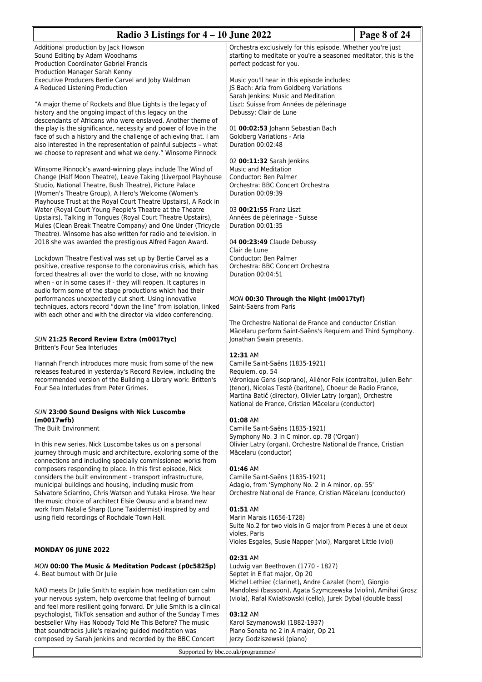| Radio 3 Listings for $4 - 10$ June 2022                                                                                                                                                                                                                |                                                                                                                                                                               | Page 8 of 24 |
|--------------------------------------------------------------------------------------------------------------------------------------------------------------------------------------------------------------------------------------------------------|-------------------------------------------------------------------------------------------------------------------------------------------------------------------------------|--------------|
| Additional production by Jack Howson<br>Sound Editing by Adam Woodhams                                                                                                                                                                                 | Orchestra exclusively for this episode. Whether you're just<br>starting to meditate or you're a seasoned meditator, this is the                                               |              |
| <b>Production Coordinator Gabriel Francis</b><br>Production Manager Sarah Kenny<br>Executive Producers Bertie Carvel and Joby Waldman                                                                                                                  | perfect podcast for you.<br>Music you'll hear in this episode includes:                                                                                                       |              |
| A Reduced Listening Production                                                                                                                                                                                                                         | JS Bach: Aria from Goldberg Variations<br>Sarah Jenkins: Music and Meditation                                                                                                 |              |
| "A major theme of Rockets and Blue Lights is the legacy of<br>history and the ongoing impact of this legacy on the<br>descendants of Africans who were enslaved. Another theme of                                                                      | Liszt: Suisse from Années de pèlerinage<br>Debussy: Clair de Lune                                                                                                             |              |
| the play is the significance, necessity and power of love in the<br>face of such a history and the challenge of achieving that. I am                                                                                                                   | 01 00:02:53 Johann Sebastian Bach<br>Goldberg Variations - Aria                                                                                                               |              |
| also interested in the representation of painful subjects - what<br>we choose to represent and what we deny." Winsome Pinnock                                                                                                                          | Duration 00:02:48<br>02 00:11:32 Sarah Jenkins                                                                                                                                |              |
| Winsome Pinnock's award-winning plays include The Wind of<br>Change (Half Moon Theatre), Leave Taking (Liverpool Playhouse                                                                                                                             | <b>Music and Meditation</b><br>Conductor: Ben Palmer                                                                                                                          |              |
| Studio, National Theatre, Bush Theatre), Picture Palace<br>(Women's Theatre Group), A Hero's Welcome (Women's<br>Playhouse Trust at the Royal Court Theatre Upstairs), A Rock in                                                                       | Orchestra: BBC Concert Orchestra<br>Duration 00:09:39                                                                                                                         |              |
| Water (Royal Court Young People's Theatre at the Theatre<br>Upstairs), Talking in Tongues (Royal Court Theatre Upstairs),                                                                                                                              | 03 00:21:55 Franz Liszt<br>Années de pèlerinage - Suisse                                                                                                                      |              |
| Mules (Clean Break Theatre Company) and One Under (Tricycle<br>Theatre). Winsome has also written for radio and television. In<br>2018 she was awarded the prestigious Alfred Fagon Award.                                                             | Duration 00:01:35<br>04 00:23:49 Claude Debussy                                                                                                                               |              |
| Lockdown Theatre Festival was set up by Bertie Carvel as a                                                                                                                                                                                             | Clair de Lune<br>Conductor: Ben Palmer                                                                                                                                        |              |
| positive, creative response to the coronavirus crisis, which has<br>forced theatres all over the world to close, with no knowing<br>when - or in some cases if - they will reopen. It captures in                                                      | Orchestra: BBC Concert Orchestra<br>Duration 00:04:51                                                                                                                         |              |
| audio form some of the stage productions which had their<br>performances unexpectedly cut short. Using innovative<br>techniques, actors record "down the line" from isolation, linked<br>with each other and with the director via video conferencing. | MON 00:30 Through the Night (m0017tyf)<br>Saint-Saëns from Paris                                                                                                              |              |
| SUN 21:25 Record Review Extra (m0017tyc)                                                                                                                                                                                                               | The Orchestre National de France and conductor Cristian<br>Măcelaru perform Saint-Saëns's Requiem and Third Symphony.<br>Jonathan Swain presents.                             |              |
| <b>Britten's Four Sea Interludes</b>                                                                                                                                                                                                                   | 12:31 AM                                                                                                                                                                      |              |
| Hannah French introduces more music from some of the new<br>releases featured in yesterday's Record Review, including the<br>recommended version of the Building a Library work: Britten's                                                             | Camille Saint-Saëns (1835-1921)<br>Requiem, op. 54<br>Véronique Gens (soprano), Aliénor Feix (contralto), Julien Behr                                                         |              |
| Four Sea Interludes from Peter Grimes.                                                                                                                                                                                                                 | (tenor), Nicolas Testé (baritone), Choeur de Radio France,<br>Martina Batič (director), Olivier Latry (organ), Orchestre<br>National de France, Cristian Măcelaru (conductor) |              |
| SUN 23:00 Sound Designs with Nick Luscombe<br>(m0017wfb)                                                                                                                                                                                               | 01:08 AM                                                                                                                                                                      |              |
| The Built Environment                                                                                                                                                                                                                                  | Camille Saint-Saëns (1835-1921)<br>Symphony No. 3 in C minor, op. 78 ('Organ')                                                                                                |              |
| In this new series, Nick Luscombe takes us on a personal<br>journey through music and architecture, exploring some of the<br>connections and including specially commissioned works from                                                               | Olivier Latry (organ), Orchestre National de France, Cristian<br>Măcelaru (conductor)                                                                                         |              |
| composers responding to place. In this first episode, Nick<br>considers the built environment - transport infrastructure,<br>municipal buildings and housing, including music from                                                                     | 01:46 AM<br>Camille Saint-Saëns (1835-1921)<br>Adagio, from 'Symphony No. 2 in A minor, op. 55'                                                                               |              |
| Salvatore Sciarrino, Chris Watson and Yutaka Hirose. We hear<br>the music choice of architect Elsie Owusu and a brand new                                                                                                                              | Orchestre National de France, Cristian Măcelaru (conductor)                                                                                                                   |              |
| work from Natalie Sharp (Lone Taxidermist) inspired by and<br>using field recordings of Rochdale Town Hall.                                                                                                                                            | 01:51 AM<br>Marin Marais (1656-1728)<br>Suite No.2 for two viols in G major from Pieces à une et deux                                                                         |              |
| MONDAY 06 JUNE 2022                                                                                                                                                                                                                                    | violes, Paris<br>Violes Esgales, Susie Napper (viol), Margaret Little (viol)                                                                                                  |              |
|                                                                                                                                                                                                                                                        | 02:31 AM                                                                                                                                                                      |              |
| MON 00:00 The Music & Meditation Podcast (p0c5825p)<br>4. Beat burnout with Dr Julie                                                                                                                                                                   | Ludwig van Beethoven (1770 - 1827)<br>Septet in E flat major, Op 20<br>Michel Lethiec (clarinet), Andre Cazalet (horn), Giorgio                                               |              |
| NAO meets Dr Julie Smith to explain how meditation can calm<br>your nervous system, help overcome that feeling of burnout                                                                                                                              | Mandolesi (bassoon), Agata Szymczewska (violin), Amihai Grosz<br>(viola), Rafal Kwiatkowski (cello), Jurek Dybal (double bass)                                                |              |
| and feel more resilient going forward. Dr Julie Smith is a clinical<br>psychologist, TikTok sensation and author of the Sunday Times                                                                                                                   | 03:12 AM                                                                                                                                                                      |              |
| bestseller Why Has Nobody Told Me This Before? The music                                                                                                                                                                                               | Karol Szymanowski (1882-1937)                                                                                                                                                 |              |
| that soundtracks Julie's relaxing guided meditation was<br>composed by Sarah Jenkins and recorded by the BBC Concert                                                                                                                                   | Piano Sonata no 2 in A major, Op 21<br>Jerzy Godziszewski (piano)                                                                                                             |              |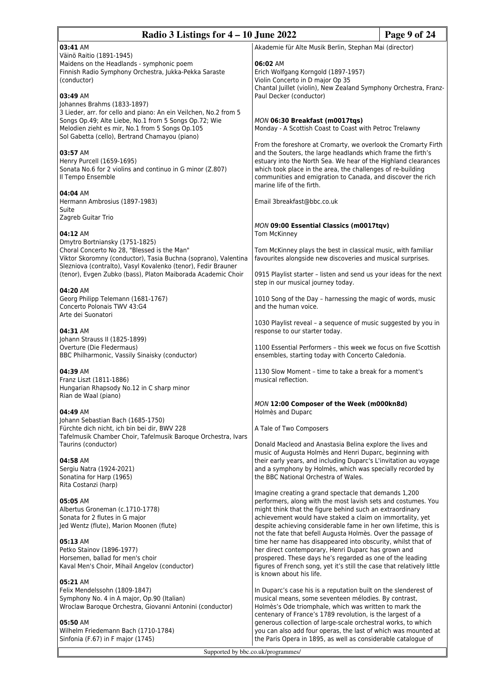| Radio 3 Listings for $4 - 10$ June 2022                                                                                                                                                                                        |                                                                                                                                                                                                                                                                                                                                                             | Page 9 of 24 |
|--------------------------------------------------------------------------------------------------------------------------------------------------------------------------------------------------------------------------------|-------------------------------------------------------------------------------------------------------------------------------------------------------------------------------------------------------------------------------------------------------------------------------------------------------------------------------------------------------------|--------------|
| 03:41 AM<br>Väinö Raitio (1891-1945)<br>Maidens on the Headlands - symphonic poem                                                                                                                                              | Akademie für Alte Musik Berlin, Stephan Mai (director)<br>06:02 AM                                                                                                                                                                                                                                                                                          |              |
| Finnish Radio Symphony Orchestra, Jukka-Pekka Saraste<br>(conductor)                                                                                                                                                           | Erich Wolfgang Korngold (1897-1957)<br>Violin Concerto in D major Op 35<br>Chantal Juillet (violin), New Zealand Symphony Orchestra, Franz-                                                                                                                                                                                                                 |              |
| 03:49 AM<br>Johannes Brahms (1833-1897)                                                                                                                                                                                        | Paul Decker (conductor)                                                                                                                                                                                                                                                                                                                                     |              |
| 3 Lieder, arr. for cello and piano: An ein Veilchen, No.2 from 5<br>Songs Op.49; Alte Liebe, No.1 from 5 Songs Op.72; Wie<br>Melodien zieht es mir, No.1 from 5 Songs Op.105<br>Sol Gabetta (cello), Bertrand Chamayou (piano) | MON 06:30 Breakfast (m0017tqs)<br>Monday - A Scottish Coast to Coast with Petroc Trelawny                                                                                                                                                                                                                                                                   |              |
| 03:57 AM<br>Henry Purcell (1659-1695)<br>Sonata No.6 for 2 violins and continuo in G minor (Z.807)<br>Il Tempo Ensemble                                                                                                        | From the foreshore at Cromarty, we overlook the Cromarty Firth<br>and the Souters, the large headlands which frame the firth's<br>estuary into the North Sea. We hear of the Highland clearances<br>which took place in the area, the challenges of re-building<br>communities and emigration to Canada, and discover the rich<br>marine life of the firth. |              |
| 04:04 AM<br>Hermann Ambrosius (1897-1983)<br>Suite                                                                                                                                                                             | Email 3breakfast@bbc.co.uk                                                                                                                                                                                                                                                                                                                                  |              |
| Zagreb Guitar Trio<br>04:12 AM                                                                                                                                                                                                 | MON 09:00 Essential Classics (m0017tqv)<br>Tom McKinney                                                                                                                                                                                                                                                                                                     |              |
| Dmytro Bortniansky (1751-1825)<br>Choral Concerto No 28, "Blessed is the Man"<br>Viktor Skoromny (conductor), Tasia Buchna (soprano), Valentina<br>Slezniova (contralto), Vasyl Kovalenko (tenor), Fedir Brauner               | Tom McKinney plays the best in classical music, with familiar<br>favourites alongside new discoveries and musical surprises.                                                                                                                                                                                                                                |              |
| (tenor), Evgen Zubko (bass), Platon Maiborada Academic Choir                                                                                                                                                                   | 0915 Playlist starter - listen and send us your ideas for the next<br>step in our musical journey today.                                                                                                                                                                                                                                                    |              |
| 04:20 AM<br>Georg Philipp Telemann (1681-1767)<br>Concerto Polonais TWV 43:G4<br>Arte dei Suonatori                                                                                                                            | 1010 Song of the Day - harnessing the magic of words, music<br>and the human voice.                                                                                                                                                                                                                                                                         |              |
| 04:31 AM<br>Johann Strauss II (1825-1899)                                                                                                                                                                                      | 1030 Playlist reveal - a sequence of music suggested by you in<br>response to our starter today.                                                                                                                                                                                                                                                            |              |
| Overture (Die Fledermaus)<br>BBC Philharmonic, Vassily Sinaisky (conductor)                                                                                                                                                    | 1100 Essential Performers - this week we focus on five Scottish<br>ensembles, starting today with Concerto Caledonia.                                                                                                                                                                                                                                       |              |
| 04:39 AM<br>Franz Liszt (1811-1886)<br>Hungarian Rhapsody No.12 in C sharp minor<br>Rian de Waal (piano)                                                                                                                       | 1130 Slow Moment - time to take a break for a moment's<br>musical reflection.                                                                                                                                                                                                                                                                               |              |
| 04:49 AM                                                                                                                                                                                                                       | MON 12:00 Composer of the Week (m000kn8d)<br>Holmès and Duparc                                                                                                                                                                                                                                                                                              |              |
| Johann Sebastian Bach (1685-1750)<br>Fürchte dich nicht, ich bin bei dir, BWV 228<br>Tafelmusik Chamber Choir, Tafelmusik Baroque Orchestra, Ivars                                                                             | A Tale of Two Composers                                                                                                                                                                                                                                                                                                                                     |              |
| Taurins (conductor)<br>04:58 AM<br>Sergiu Natra (1924-2021)<br>Sonatina for Harp (1965)                                                                                                                                        | Donald Macleod and Anastasia Belina explore the lives and<br>music of Augusta Holmès and Henri Duparc, beginning with<br>their early years, and including Duparc's L'invitation au voyage<br>and a symphony by Holmès, which was specially recorded by<br>the BBC National Orchestra of Wales.                                                              |              |
| Rita Costanzi (harp)                                                                                                                                                                                                           | Imagine creating a grand spectacle that demands 1,200                                                                                                                                                                                                                                                                                                       |              |
| 05:05 AM<br>Albertus Groneman (c.1710-1778)<br>Sonata for 2 flutes in G major<br>Jed Wentz (flute), Marion Moonen (flute)                                                                                                      | performers, along with the most lavish sets and costumes. You<br>might think that the figure behind such an extraordinary<br>achievement would have staked a claim on immortality, yet<br>despite achieving considerable fame in her own lifetime, this is<br>not the fate that befell Augusta Holmès. Over the passage of                                  |              |
| 05:13 AM<br>Petko Stainov (1896-1977)<br>Horsemen, ballad for men's choir<br>Kaval Men's Choir, Mihail Angelov (conductor)                                                                                                     | time her name has disappeared into obscurity, whilst that of<br>her direct contemporary, Henri Duparc has grown and<br>prospered. These days he's regarded as one of the leading<br>figures of French song, yet it's still the case that relatively little<br>is known about his life.                                                                      |              |
| 05:21 AM<br>Felix Mendelssohn (1809-1847)<br>Symphony No. 4 in A major, Op.90 (Italian)<br>Wroclaw Baroque Orchestra, Giovanni Antonini (conductor)                                                                            | In Duparc's case his is a reputation built on the slenderest of<br>musical means, some seventeen mélodies. By contrast,<br>Holmès's Ode triomphale, which was written to mark the<br>centenary of France's 1789 revolution, is the largest of a                                                                                                             |              |
| 05:50 AM<br>Wilhelm Friedemann Bach (1710-1784)<br>Sinfonia (F.67) in F major (1745)                                                                                                                                           | generous collection of large-scale orchestral works, to which<br>you can also add four operas, the last of which was mounted at<br>the Paris Opera in 1895, as well as considerable catalogue of                                                                                                                                                            |              |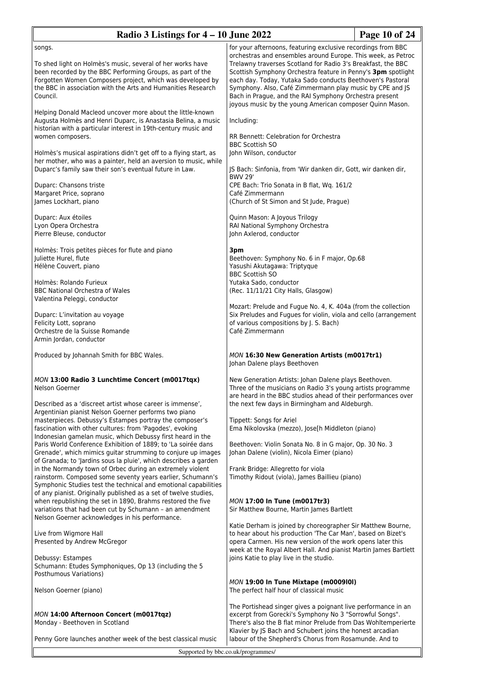| Radio 3 Listings for $4 - 10$ June 2022                                                                                                                                                                                                                                                                                                                                                                              |                                                                                                                                                                                                                                                                                                                                                                                                                                                  | Page 10 of 24 |
|----------------------------------------------------------------------------------------------------------------------------------------------------------------------------------------------------------------------------------------------------------------------------------------------------------------------------------------------------------------------------------------------------------------------|--------------------------------------------------------------------------------------------------------------------------------------------------------------------------------------------------------------------------------------------------------------------------------------------------------------------------------------------------------------------------------------------------------------------------------------------------|---------------|
| songs.<br>To shed light on Holmès's music, several of her works have<br>been recorded by the BBC Performing Groups, as part of the<br>Forgotten Women Composers project, which was developed by<br>the BBC in association with the Arts and Humanities Research<br>Council.                                                                                                                                          | for your afternoons, featuring exclusive recordings from BBC<br>orchestras and ensembles around Europe. This week, as Petroc<br>Trelawny traverses Scotland for Radio 3's Breakfast, the BBC<br>Scottish Symphony Orchestra feature in Penny's 3pm spotlight<br>each day. Today, Yutaka Sado conducts Beethoven's Pastoral<br>Symphony. Also, Café Zimmermann play music by CPE and JS<br>Bach in Prague, and the RAI Symphony Orchestra present |               |
| Helping Donald Macleod uncover more about the little-known<br>Augusta Holmès and Henri Duparc, is Anastasia Belina, a music<br>historian with a particular interest in 19th-century music and<br>women composers.<br>Holmès's musical aspirations didn't get off to a flying start, as<br>her mother, who was a painter, held an aversion to music, while<br>Duparc's family saw their son's eventual future in Law. | joyous music by the young American composer Quinn Mason.<br>Including:<br><b>RR Bennett: Celebration for Orchestra</b><br><b>BBC Scottish SO</b><br>John Wilson, conductor<br>JS Bach: Sinfonia, from 'Wir danken dir, Gott, wir danken dir,                                                                                                                                                                                                     |               |
| Duparc: Chansons triste<br>Margaret Price, soprano<br>James Lockhart, piano                                                                                                                                                                                                                                                                                                                                          | <b>BWV 29'</b><br>CPE Bach: Trio Sonata in B flat, Wq. 161/2<br>Café Zimmermann<br>(Church of St Simon and St Jude, Prague)                                                                                                                                                                                                                                                                                                                      |               |
| Duparc: Aux étoiles<br>Lyon Opera Orchestra<br>Pierre Bleuse, conductor                                                                                                                                                                                                                                                                                                                                              | Quinn Mason: A Joyous Trilogy<br>RAI National Symphony Orchestra<br>John Axlerod, conductor                                                                                                                                                                                                                                                                                                                                                      |               |
| Holmès: Trois petites pièces for flute and piano<br>Juliette Hurel, flute<br>Hélène Couvert, piano<br>Holmès: Rolando Furieux<br><b>BBC National Orchestra of Wales</b><br>Valentina Peleggi, conductor                                                                                                                                                                                                              | 3pm<br>Beethoven: Symphony No. 6 in F major, Op.68<br>Yasushi Akutagawa: Triptyque<br><b>BBC Scottish SO</b><br>Yutaka Sado, conductor<br>(Rec. 11/11/21 City Halls, Glasgow)                                                                                                                                                                                                                                                                    |               |
| Duparc: L'invitation au voyage<br>Felicity Lott, soprano<br>Orchestre de la Suisse Romande<br>Armin Jordan, conductor                                                                                                                                                                                                                                                                                                | Mozart: Prelude and Fugue No. 4, K. 404a (from the collection<br>Six Preludes and Fugues for violin, viola and cello (arrangement<br>of various compositions by J. S. Bach)<br>Café Zimmermann                                                                                                                                                                                                                                                   |               |
| Produced by Johannah Smith for BBC Wales.                                                                                                                                                                                                                                                                                                                                                                            | <b>MON 16:30 New Generation Artists (m0017tr1)</b><br>Johan Dalene plays Beethoven                                                                                                                                                                                                                                                                                                                                                               |               |
| MON 13:00 Radio 3 Lunchtime Concert (m0017tqx)<br>Nelson Goerner<br>Described as a 'discreet artist whose career is immense',<br>Argentinian pianist Nelson Goerner performs two piano                                                                                                                                                                                                                               | New Generation Artists: Johan Dalene plays Beethoven.<br>Three of the musicians on Radio 3's young artists programme<br>are heard in the BBC studios ahead of their performances over<br>the next few days in Birmingham and Aldeburgh.                                                                                                                                                                                                          |               |
| masterpieces. Debussy's Estampes portray the composer's<br>fascination with other cultures: from 'Pagodes', evoking<br>Indonesian gamelan music, which Debussy first heard in the<br>Paris World Conference Exhibition of 1889; to 'La soirée dans<br>Grenade', which mimics guitar strumming to conjure up images                                                                                                   | Tippett: Songs for Ariel<br>Ema Nikolovska (mezzo), Jose[h Middleton (piano)<br>Beethoven: Violin Sonata No. 8 in G major, Op. 30 No. 3<br>Johan Dalene (violin), Nicola Eimer (piano)                                                                                                                                                                                                                                                           |               |
| of Granada; to 'Jardins sous la pluie', which describes a garden<br>in the Normandy town of Orbec during an extremely violent<br>rainstorm. Composed some seventy years earlier, Schumann's<br>Symphonic Studies test the technical and emotional capabilities<br>of any pianist. Originally published as a set of twelve studies,                                                                                   | Frank Bridge: Allegretto for viola<br>Timothy Ridout (viola), James Baillieu (piano)                                                                                                                                                                                                                                                                                                                                                             |               |
| when republishing the set in 1890, Brahms restored the five<br>variations that had been cut by Schumann - an amendment<br>Nelson Goerner acknowledges in his performance.                                                                                                                                                                                                                                            | MON 17:00 In Tune (m0017tr3)<br>Sir Matthew Bourne, Martin James Bartlett                                                                                                                                                                                                                                                                                                                                                                        |               |
| Live from Wigmore Hall<br>Presented by Andrew McGregor<br>Debussy: Estampes                                                                                                                                                                                                                                                                                                                                          | Katie Derham is joined by choreographer Sir Matthew Bourne,<br>to hear about his production 'The Car Man', based on Bizet's<br>opera Carmen. His new version of the work opens later this<br>week at the Royal Albert Hall. And pianist Martin James Bartlett<br>joins Katie to play live in the studio.                                                                                                                                         |               |
| Schumann: Etudes Symphoniques, Op 13 (including the 5<br>Posthumous Variations)<br>Nelson Goerner (piano)                                                                                                                                                                                                                                                                                                            | MON 19:00 In Tune Mixtape (m0009101)<br>The perfect half hour of classical music                                                                                                                                                                                                                                                                                                                                                                 |               |
| MON 14:00 Afternoon Concert (m0017tqz)<br>Monday - Beethoven in Scotland                                                                                                                                                                                                                                                                                                                                             | The Portishead singer gives a poignant live performance in an<br>excerpt from Gorecki's Symphony No 3 "Sorrowful Songs".<br>There's also the B flat minor Prelude from Das Wohltemperierte<br>Klavier by JS Bach and Schubert joins the honest arcadian                                                                                                                                                                                          |               |
| Penny Gore launches another week of the best classical music                                                                                                                                                                                                                                                                                                                                                         | labour of the Shepherd's Chorus from Rosamunde. And to                                                                                                                                                                                                                                                                                                                                                                                           |               |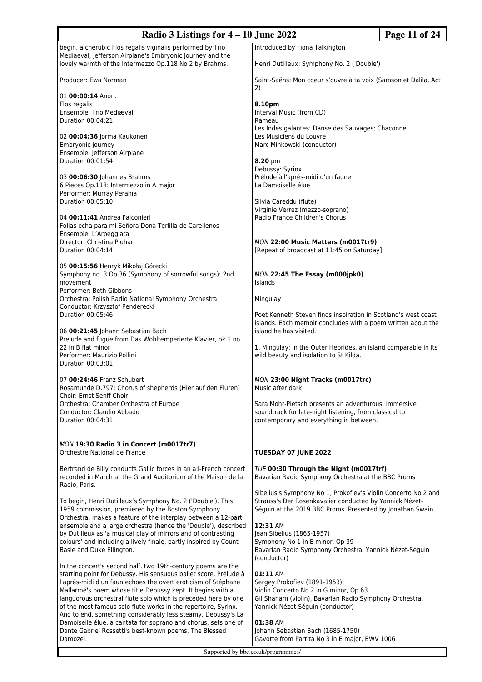| Radio 3 Listings for $4 - 10$ June 2022                                                                                      |                                                                                                                           | Page 11 of 24 |
|------------------------------------------------------------------------------------------------------------------------------|---------------------------------------------------------------------------------------------------------------------------|---------------|
| begin, a cherubic Flos regalis viginalis performed by Trio                                                                   | Introduced by Fiona Talkington                                                                                            |               |
| Mediaeval, Jefferson Airplane's Embryonic Journey and the<br>lovely warmth of the Intermezzo Op.118 No 2 by Brahms.          | Henri Dutilleux: Symphony No. 2 ('Double')                                                                                |               |
| Producer: Ewa Norman                                                                                                         | Saint-Saëns: Mon coeur s'ouvre à ta voix (Samson et Dalila, Act<br>2)                                                     |               |
| 01 00:00:14 Anon.                                                                                                            |                                                                                                                           |               |
| Flos regalis                                                                                                                 | 8.10pm                                                                                                                    |               |
| Ensemble: Trio Mediæval<br>Duration 00:04:21                                                                                 | Interval Music (from CD)<br>Rameau                                                                                        |               |
|                                                                                                                              | Les Indes galantes: Danse des Sauvages; Chaconne                                                                          |               |
| 02 00:04:36 Jorma Kaukonen                                                                                                   | Les Musiciens du Louvre                                                                                                   |               |
| Embryonic journey                                                                                                            | Marc Minkowski (conductor)                                                                                                |               |
| Ensemble: Jefferson Airplane<br>Duration 00:01:54                                                                            |                                                                                                                           |               |
|                                                                                                                              | 8.20 pm<br>Debussy: Syrinx                                                                                                |               |
| 03 00:06:30 Johannes Brahms                                                                                                  | Prélude à l'après-midi d'un faune                                                                                         |               |
| 6 Pieces Op.118: Intermezzo in A major                                                                                       | La Damoiselle élue                                                                                                        |               |
| Performer: Murray Perahia                                                                                                    |                                                                                                                           |               |
| Duration 00:05:10                                                                                                            | Silvia Careddu (flute)<br>Virginie Verrez (mezzo-soprano)                                                                 |               |
| 04 00:11:41 Andrea Falconieri                                                                                                | Radio France Children's Chorus                                                                                            |               |
| Folias echa para mi Señora Dona Terlilla de Carellenos                                                                       |                                                                                                                           |               |
| Ensemble: L'Arpeggiata                                                                                                       |                                                                                                                           |               |
| Director: Christina Pluhar                                                                                                   | MON 22:00 Music Matters (m0017tr9)                                                                                        |               |
| Duration 00:04:14                                                                                                            | [Repeat of broadcast at 11:45 on Saturday]                                                                                |               |
| 05 00:15:56 Henryk Mikołaj Górecki                                                                                           |                                                                                                                           |               |
| Symphony no. 3 Op.36 (Symphony of sorrowful songs): 2nd                                                                      | MON 22:45 The Essay (m000jpk0)                                                                                            |               |
| movement                                                                                                                     | <b>Islands</b>                                                                                                            |               |
| Performer: Beth Gibbons                                                                                                      |                                                                                                                           |               |
| Orchestra: Polish Radio National Symphony Orchestra<br>Conductor: Krzysztof Penderecki                                       | Mingulay                                                                                                                  |               |
| Duration 00:05:46                                                                                                            | Poet Kenneth Steven finds inspiration in Scotland's west coast                                                            |               |
|                                                                                                                              | islands. Each memoir concludes with a poem written about the                                                              |               |
| 06 00:21:45 Johann Sebastian Bach                                                                                            | island he has visited.                                                                                                    |               |
| Prelude and fugue from Das Wohltemperierte Klavier, bk.1 no.<br>22 in B flat minor                                           | 1. Mingulay: in the Outer Hebrides, an island comparable in its                                                           |               |
| Performer: Maurizio Pollini                                                                                                  | wild beauty and isolation to St Kilda.                                                                                    |               |
| Duration 00:03:01                                                                                                            |                                                                                                                           |               |
|                                                                                                                              |                                                                                                                           |               |
| 07 00:24:46 Franz Schubert<br>Rosamunde D.797: Chorus of shepherds (Hier auf den Fluren)                                     | MON 23:00 Night Tracks (m0017trc)<br>Music after dark                                                                     |               |
| Choir: Ernst Senff Choir                                                                                                     |                                                                                                                           |               |
| Orchestra: Chamber Orchestra of Europe                                                                                       | Sara Mohr-Pietsch presents an adventurous, immersive                                                                      |               |
| Conductor: Claudio Abbado                                                                                                    | soundtrack for late-night listening, from classical to                                                                    |               |
| Duration 00:04:31                                                                                                            | contemporary and everything in between.                                                                                   |               |
|                                                                                                                              |                                                                                                                           |               |
| MON 19:30 Radio 3 in Concert (m0017tr7)                                                                                      |                                                                                                                           |               |
| Orchestre National de France                                                                                                 | TUESDAY 07 JUNE 2022                                                                                                      |               |
| Bertrand de Billy conducts Gallic forces in an all-French concert                                                            | TUE 00:30 Through the Night (m0017trf)                                                                                    |               |
| recorded in March at the Grand Auditorium of the Maison de la                                                                | Bavarian Radio Symphony Orchestra at the BBC Proms                                                                        |               |
| Radio, Paris.                                                                                                                |                                                                                                                           |               |
|                                                                                                                              | Sibelius's Symphony No 1, Prokofiev's Violin Concerto No 2 and<br>Strauss's Der Rosenkavalier conducted by Yannick Nézet- |               |
| To begin, Henri Dutilleux's Symphony No. 2 ('Double'). This<br>1959 commission, premiered by the Boston Symphony             | Séguin at the 2019 BBC Proms. Presented by Jonathan Swain.                                                                |               |
| Orchestra, makes a feature of the interplay between a 12-part                                                                |                                                                                                                           |               |
| ensemble and a large orchestra (hence the 'Double'), described                                                               | 12:31 AM                                                                                                                  |               |
| by Dutilleux as 'a musical play of mirrors and of contrasting                                                                | Jean Sibelius (1865-1957)                                                                                                 |               |
| colours' and including a lively finale, partly inspired by Count<br>Basie and Duke Ellington.                                | Symphony No 1 in E minor, Op 39<br>Bavarian Radio Symphony Orchestra, Yannick Nézet-Séguin                                |               |
|                                                                                                                              | (conductor)                                                                                                               |               |
| In the concert's second half, two 19th-century poems are the                                                                 |                                                                                                                           |               |
| starting point for Debussy. His sensuous ballet score, Prélude à                                                             | 01:11 AM                                                                                                                  |               |
| l'après-midi d'un faun echoes the overt eroticism of Stéphane                                                                | Sergey Prokofiev (1891-1953)                                                                                              |               |
| Mallarmé's poem whose title Debussy kept. It begins with a<br>languorous orchestral flute solo which is preceded here by one | Violin Concerto No 2 in G minor, Op 63<br>Gil Shaham (violin), Bavarian Radio Symphony Orchestra,                         |               |
| of the most famous solo flute works in the repertoire, Syrinx.                                                               | Yannick Nézet-Séguin (conductor)                                                                                          |               |
| And to end, something considerably less steamy. Debussy's La                                                                 |                                                                                                                           |               |
| Damoiselle élue, a cantata for soprano and chorus, sets one of                                                               | 01:38 AM                                                                                                                  |               |
| Dante Gabriel Rossetti's best-known poems, The Blessed<br>Damozel.                                                           | Johann Sebastian Bach (1685-1750)<br>Gavotte from Partita No 3 in E major, BWV 1006                                       |               |
|                                                                                                                              |                                                                                                                           |               |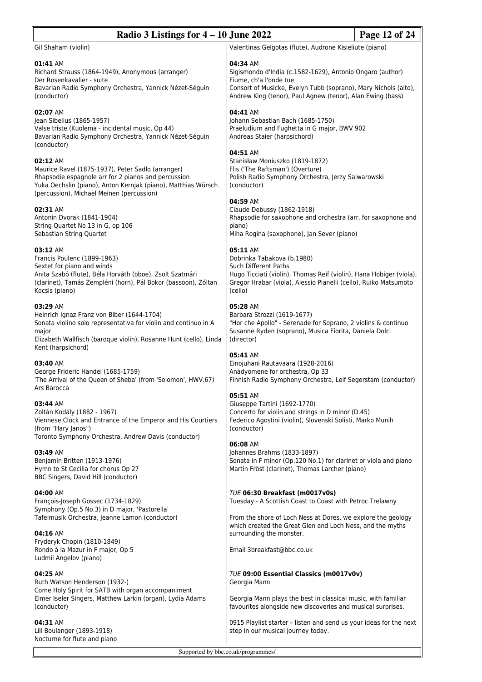| Radio 3 Listings for $4 - 10$ June 2022<br>Page 12 of 24                                                                                                                                                                           |                                                                                                                                                                                                                                  |  |
|------------------------------------------------------------------------------------------------------------------------------------------------------------------------------------------------------------------------------------|----------------------------------------------------------------------------------------------------------------------------------------------------------------------------------------------------------------------------------|--|
| Gil Shaham (violin)                                                                                                                                                                                                                | Valentinas Gelgotas (flute), Audrone Kisieliute (piano)                                                                                                                                                                          |  |
| 01:41 AM<br>Richard Strauss (1864-1949), Anonymous (arranger)<br>Der Rosenkavalier - suite<br>Bavarian Radio Symphony Orchestra, Yannick Nézet-Séguin<br>(conductor)                                                               | 04:34 AM<br>Sigismondo d'India (c.1582-1629), Antonio Ongaro (author)<br>Fiume, ch'a l'onde tue<br>Consort of Musicke, Evelyn Tubb (soprano), Mary Nichols (alto),<br>Andrew King (tenor), Paul Agnew (tenor), Alan Ewing (bass) |  |
| 02:07 AM<br>Jean Sibelius (1865-1957)<br>Valse triste (Kuolema - incidental music, Op 44)<br>Bavarian Radio Symphony Orchestra, Yannick Nézet-Séguin<br>(conductor)                                                                | 04:41 AM<br>Johann Sebastian Bach (1685-1750)<br>Praeludium and Fughetta in G major, BWV 902<br>Andreas Staier (harpsichord)                                                                                                     |  |
| 02:12 AM<br>Maurice Ravel (1875-1937), Peter Sadlo (arranger)<br>Rhapsodie espagnole arr for 2 pianos and percussion<br>Yuka Oechslin (piano), Anton Kernjak (piano), Matthias Würsch<br>(percussion), Michael Meinen (percussion) | 04:51 AM<br>Stanisław Moniuszko (1819-1872)<br>Flis ('The Raftsman') (Overture)<br>Polish Radio Symphony Orchestra, Jerzy Salwarowski<br>(conductor)                                                                             |  |
| 02:31 AM<br>Antonin Dvorak (1841-1904)<br>String Quartet No 13 in G, op 106<br>Sebastian String Quartet                                                                                                                            | 04:59 AM<br>Claude Debussy (1862-1918)<br>Rhapsodie for saxophone and orchestra (arr. for saxophone and<br>piano)<br>Miha Rogina (saxophone), Jan Sever (piano)                                                                  |  |
| 03:12 AM<br>Francis Poulenc (1899-1963)<br>Sextet for piano and winds<br>Anita Szabó (flute), Béla Horváth (oboe), Zsolt Szatmári<br>(clarinet), Tamás Zempléni (horn), Pál Bokor (bassoon), Zóltan<br>Kocsis (piano)              | 05:11 AM<br>Dobrinka Tabakova (b.1980)<br><b>Such Different Paths</b><br>Hugo Ticciati (violin), Thomas Reif (violin), Hana Hobiger (viola),<br>Gregor Hrabar (viola), Alessio Pianelli (cello), Ruiko Matsumoto<br>(cello)      |  |
| 03:29 AM<br>Heinrich Ignaz Franz von Biber (1644-1704)<br>Sonata violino solo representativa for violin and continuo in A<br>major<br>Elizabeth Wallfisch (baroque violin), Rosanne Hunt (cello), Linda<br>Kent (harpsichord)      | 05:28 AM<br>Barbara Strozzi (1619-1677)<br>"Hor che Apollo" - Serenade for Soprano, 2 violins & continuo<br>Susanne Ryden (soprano), Musica Fiorita, Daniela Dolci<br>(director)                                                 |  |
| 03:40 AM<br>George Frideric Handel (1685-1759)<br>'The Arrival of the Queen of Sheba' (from 'Solomon', HWV.67)<br>Ars Barocca                                                                                                      | 05:41 AM<br>Einojuhani Rautavaara (1928-2016)<br>Anadyomene for orchestra, Op 33<br>Finnish Radio Symphony Orchestra, Leif Segerstam (conductor)                                                                                 |  |
| 03:44 AM<br>Zoltán Kodály (1882 - 1967)<br>Viennese Clock and Entrance of the Emperor and His Courtiers<br>(from "Hary Janos")<br>Toronto Symphony Orchestra, Andrew Davis (conductor)                                             | 05:51 AM<br>Giuseppe Tartini (1692-1770)<br>Concerto for violin and strings in D minor (D.45)<br>Federico Agostini (violin), Slovenski Solisti, Marko Munih<br>(conductor)                                                       |  |
| 03:49 AM<br>Benjamin Britten (1913-1976)<br>Hymn to St Cecilia for chorus Op 27<br>BBC Singers, David Hill (conductor)                                                                                                             | 06:08 AM<br>Johannes Brahms (1833-1897)<br>Sonata in F minor (Op.120 No.1) for clarinet or viola and piano<br>Martin Fröst (clarinet), Thomas Larcher (piano)                                                                    |  |
| 04:00 AM<br>François-Joseph Gossec (1734-1829)                                                                                                                                                                                     | TUE 06:30 Breakfast (m0017v0s)<br>Tuesday - A Scottish Coast to Coast with Petroc Trelawny                                                                                                                                       |  |
| Symphony (Op.5 No.3) in D major, 'Pastorella'<br>Tafelmusik Orchestra, Jeanne Lamon (conductor)<br>04:16 AM                                                                                                                        | From the shore of Loch Ness at Dores, we explore the geology<br>which created the Great Glen and Loch Ness, and the myths<br>surrounding the monster.                                                                            |  |
| Fryderyk Chopin (1810-1849)<br>Rondo à la Mazur in F major, Op 5<br>Ludmil Angelov (piano)                                                                                                                                         | Email 3breakfast@bbc.co.uk                                                                                                                                                                                                       |  |
| 04:25 AM<br>Ruth Watson Henderson (1932-)                                                                                                                                                                                          | <b>TUE 09:00 Essential Classics (m0017v0v)</b><br>Georgia Mann                                                                                                                                                                   |  |
| Come Holy Spirit for SATB with organ accompaniment<br>Elmer Iseler Singers, Matthew Larkin (organ), Lydia Adams<br>(conductor)                                                                                                     | Georgia Mann plays the best in classical music, with familiar<br>favourites alongside new discoveries and musical surprises.                                                                                                     |  |
| 04:31 AM<br>Lili Boulanger (1893-1918)                                                                                                                                                                                             | 0915 Playlist starter - listen and send us your ideas for the next<br>step in our musical journey today.                                                                                                                         |  |

Lili Boulanger (1893-1918) Nocturne for flute and piano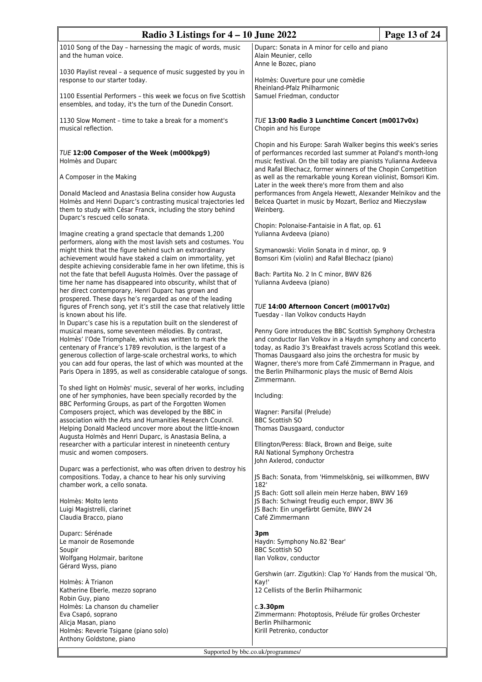| Radio 3 Listings for $4 - 10$ June 2022                                                                                                                                                                                                                                                                                                                                                                                                                |                                                                                                                                                                                                                                                                                                                                                                             | Page 13 of 24 |
|--------------------------------------------------------------------------------------------------------------------------------------------------------------------------------------------------------------------------------------------------------------------------------------------------------------------------------------------------------------------------------------------------------------------------------------------------------|-----------------------------------------------------------------------------------------------------------------------------------------------------------------------------------------------------------------------------------------------------------------------------------------------------------------------------------------------------------------------------|---------------|
| 1010 Song of the Day - harnessing the magic of words, music<br>and the human voice.                                                                                                                                                                                                                                                                                                                                                                    | Duparc: Sonata in A minor for cello and piano<br>Alain Meunier, cello<br>Anne le Bozec, piano                                                                                                                                                                                                                                                                               |               |
| 1030 Playlist reveal - a sequence of music suggested by you in<br>response to our starter today.                                                                                                                                                                                                                                                                                                                                                       | Holmès: Ouverture pour une comèdie<br>Rheinland-Pfalz Philharmonic                                                                                                                                                                                                                                                                                                          |               |
| 1100 Essential Performers - this week we focus on five Scottish<br>ensembles, and today, it's the turn of the Dunedin Consort.                                                                                                                                                                                                                                                                                                                         | Samuel Friedman, conductor                                                                                                                                                                                                                                                                                                                                                  |               |
| 1130 Slow Moment - time to take a break for a moment's<br>musical reflection.                                                                                                                                                                                                                                                                                                                                                                          | TUE 13:00 Radio 3 Lunchtime Concert (m0017v0x)<br>Chopin and his Europe                                                                                                                                                                                                                                                                                                     |               |
| TUE 12:00 Composer of the Week (m000kpg9)<br>Holmès and Duparc                                                                                                                                                                                                                                                                                                                                                                                         | Chopin and his Europe: Sarah Walker begins this week's series<br>of performances recorded last summer at Poland's month-long<br>music festival. On the bill today are pianists Yulianna Avdeeva<br>and Rafal Blechacz, former winners of the Chopin Competition                                                                                                             |               |
| A Composer in the Making<br>Donald Macleod and Anastasia Belina consider how Augusta                                                                                                                                                                                                                                                                                                                                                                   | as well as the remarkable young Korean violinist, Bomsori Kim.<br>Later in the week there's more from them and also                                                                                                                                                                                                                                                         |               |
| Holmès and Henri Duparc's contrasting musical trajectories led<br>them to study with César Franck, including the story behind<br>Duparc's rescued cello sonata.                                                                                                                                                                                                                                                                                        | performances from Angela Hewett, Alexander Melnikov and the<br>Belcea Quartet in music by Mozart, Berlioz and Mieczysław<br>Weinberg.                                                                                                                                                                                                                                       |               |
| Imagine creating a grand spectacle that demands 1,200<br>performers, along with the most lavish sets and costumes. You                                                                                                                                                                                                                                                                                                                                 | Chopin: Polonaise-Fantaisie in A flat, op. 61<br>Yulianna Avdeeva (piano)                                                                                                                                                                                                                                                                                                   |               |
| might think that the figure behind such an extraordinary<br>achievement would have staked a claim on immortality, yet                                                                                                                                                                                                                                                                                                                                  | Szymanowski: Violin Sonata in d minor, op. 9<br>Bomsori Kim (violin) and Rafał Blechacz (piano)                                                                                                                                                                                                                                                                             |               |
| despite achieving considerable fame in her own lifetime, this is<br>not the fate that befell Augusta Holmès. Over the passage of<br>time her name has disappeared into obscurity, whilst that of<br>her direct contemporary, Henri Duparc has grown and                                                                                                                                                                                                | Bach: Partita No. 2 In C minor, BWV 826<br>Yulianna Avdeeva (piano)                                                                                                                                                                                                                                                                                                         |               |
| prospered. These days he's regarded as one of the leading<br>figures of French song, yet it's still the case that relatively little<br>is known about his life.                                                                                                                                                                                                                                                                                        | <b>TUE 14:00 Afternoon Concert (m0017v0z)</b><br>Tuesday - Ilan Volkov conducts Haydn                                                                                                                                                                                                                                                                                       |               |
| In Duparc's case his is a reputation built on the slenderest of<br>musical means, some seventeen mélodies. By contrast,<br>Holmès' l'Ode Triomphale, which was written to mark the<br>centenary of France's 1789 revolution, is the largest of a<br>generous collection of large-scale orchestral works, to which<br>you can add four operas, the last of which was mounted at the<br>Paris Opera in 1895, as well as considerable catalogue of songs. | Penny Gore introduces the BBC Scottish Symphony Orchestra<br>and conductor Ilan Volkov in a Haydn symphony and concerto<br>today, as Radio 3's Breakfast travels across Scotland this week.<br>Thomas Dausgaard also joins the orchestra for music by<br>Wagner, there's more from Café Zimmermann in Prague, and<br>the Berlin Philharmonic plays the music of Bernd Alois |               |
| To shed light on Holmès' music, several of her works, including<br>one of her symphonies, have been specially recorded by the<br>BBC Performing Groups, as part of the Forgotten Women                                                                                                                                                                                                                                                                 | Zimmermann.<br>Including:                                                                                                                                                                                                                                                                                                                                                   |               |
| Composers project, which was developed by the BBC in<br>association with the Arts and Humanities Research Council.<br>Helping Donald Macleod uncover more about the little-known                                                                                                                                                                                                                                                                       | Wagner: Parsifal (Prelude)<br><b>BBC Scottish SO</b><br>Thomas Dausgaard, conductor<br>Ellington/Peress: Black, Brown and Beige, suite<br>RAI National Symphony Orchestra<br>John Axlerod, conductor                                                                                                                                                                        |               |
| Augusta Holmès and Henri Duparc, is Anastasia Belina, a<br>researcher with a particular interest in nineteenth century<br>music and women composers.                                                                                                                                                                                                                                                                                                   |                                                                                                                                                                                                                                                                                                                                                                             |               |
| Duparc was a perfectionist, who was often driven to destroy his<br>compositions. Today, a chance to hear his only surviving<br>chamber work, a cello sonata.                                                                                                                                                                                                                                                                                           | JS Bach: Sonata, from 'Himmelskönig, sei willkommen, BWV<br>182'                                                                                                                                                                                                                                                                                                            |               |
| Holmès: Molto lento<br>Luigi Magistrelli, clarinet<br>Claudia Bracco, piano                                                                                                                                                                                                                                                                                                                                                                            | JS Bach: Gott soll allein mein Herze haben, BWV 169<br>JS Bach: Schwingt freudig euch empor, BWV 36<br>JS Bach: Ein ungefärbt Gemüte, BWV 24<br>Café Zimmermann                                                                                                                                                                                                             |               |
| Duparc: Sérénade<br>Le manoir de Rosemonde<br>Soupir<br>Wolfgang Holzmair, baritone                                                                                                                                                                                                                                                                                                                                                                    | 3pm<br>Haydn: Symphony No.82 'Bear'<br><b>BBC Scottish SO</b><br>Ilan Volkov, conductor                                                                                                                                                                                                                                                                                     |               |
| Gérard Wyss, piano                                                                                                                                                                                                                                                                                                                                                                                                                                     | Gershwin (arr. Zigutkin): Clap Yo' Hands from the musical 'Oh,                                                                                                                                                                                                                                                                                                              |               |
| Holmès: À Trianon<br>Katherine Eberle, mezzo soprano<br>Robin Guy, piano                                                                                                                                                                                                                                                                                                                                                                               | Kay!'<br>12 Cellists of the Berlin Philharmonic                                                                                                                                                                                                                                                                                                                             |               |
| Holmès: La chanson du chamelier<br>Eva Csapó, soprano                                                                                                                                                                                                                                                                                                                                                                                                  | c.3.30 <sub>pm</sub><br>Zimmermann: Photoptosis, Prélude für großes Orchester                                                                                                                                                                                                                                                                                               |               |
| Alicja Masan, piano<br>Holmès: Reverie Tsigane (piano solo)<br>Anthony Goldstone, piano                                                                                                                                                                                                                                                                                                                                                                | Berlin Philharmonic<br>Kirill Petrenko, conductor                                                                                                                                                                                                                                                                                                                           |               |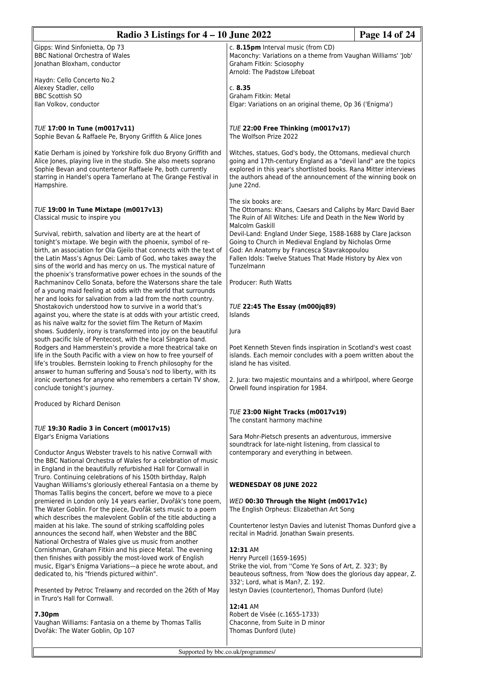| Radio 3 Listings for $4 - 10$ June 2022                                                                                                                                                                                                                                                                                                                                                                                                                                                                                                                                                                                                                                            | Page 14 of 24                                                                                                                                                                                                                                                                                                                                                                                                                                 |  |
|------------------------------------------------------------------------------------------------------------------------------------------------------------------------------------------------------------------------------------------------------------------------------------------------------------------------------------------------------------------------------------------------------------------------------------------------------------------------------------------------------------------------------------------------------------------------------------------------------------------------------------------------------------------------------------|-----------------------------------------------------------------------------------------------------------------------------------------------------------------------------------------------------------------------------------------------------------------------------------------------------------------------------------------------------------------------------------------------------------------------------------------------|--|
| Gipps: Wind Sinfonietta, Op 73<br><b>BBC National Orchestra of Wales</b><br>Jonathan Bloxham, conductor                                                                                                                                                                                                                                                                                                                                                                                                                                                                                                                                                                            | c. 8.15pm Interval music (from CD)<br>Maconchy: Variations on a theme from Vaughan Williams' 'Job'<br>Graham Fitkin: Sciosophy<br>Arnold: The Padstow Lifeboat                                                                                                                                                                                                                                                                                |  |
| Haydn: Cello Concerto No.2<br>Alexey Stadler, cello<br><b>BBC Scottish SO</b><br>Ilan Volkov, conductor                                                                                                                                                                                                                                                                                                                                                                                                                                                                                                                                                                            | c. 8.35<br>Graham Fitkin: Metal<br>Elgar: Variations on an original theme, Op 36 ('Enigma')                                                                                                                                                                                                                                                                                                                                                   |  |
| TUE 17:00 In Tune (m0017v11)<br>Sophie Bevan & Raffaele Pe, Bryony Griffith & Alice Jones                                                                                                                                                                                                                                                                                                                                                                                                                                                                                                                                                                                          | TUE 22:00 Free Thinking (m0017v17)<br>The Wolfson Prize 2022                                                                                                                                                                                                                                                                                                                                                                                  |  |
| Katie Derham is joined by Yorkshire folk duo Bryony Griffith and<br>Alice Jones, playing live in the studio. She also meets soprano<br>Sophie Bevan and countertenor Raffaele Pe, both currently<br>starring in Handel's opera Tamerlano at The Grange Festival in<br>Hampshire.                                                                                                                                                                                                                                                                                                                                                                                                   | Witches, statues, God's body, the Ottomans, medieval church<br>going and 17th-century England as a "devil land" are the topics<br>explored in this year's shortlisted books. Rana Mitter interviews<br>the authors ahead of the announcement of the winning book on<br>June 22nd.                                                                                                                                                             |  |
| TUE 19:00 In Tune Mixtape (m0017v13)<br>Classical music to inspire you<br>Survival, rebirth, salvation and liberty are at the heart of<br>tonight's mixtape. We begin with the phoenix, symbol of re-<br>birth, an association for Ola Gjeilo that connects with the text of<br>the Latin Mass's Agnus Dei: Lamb of God, who takes away the<br>sins of the world and has mercy on us. The mystical nature of<br>the phoenix's transformative power echoes in the sounds of the<br>Rachmaninov Cello Sonata, before the Watersons share the tale<br>of a young maid feeling at odds with the world that surrounds<br>her and looks for salvation from a lad from the north country. | The six books are:<br>The Ottomans: Khans, Caesars and Caliphs by Marc David Baer<br>The Ruin of All Witches: Life and Death in the New World by<br>Malcolm Gaskill<br>Devil-Land: England Under Siege, 1588-1688 by Clare Jackson<br>Going to Church in Medieval England by Nicholas Orme<br>God: An Anatomy by Francesca Stavrakopoulou<br>Fallen Idols: Twelve Statues That Made History by Alex von<br>Tunzelmann<br>Producer: Ruth Watts |  |
| Shostakovich understood how to survive in a world that's<br>against you, where the state is at odds with your artistic creed,<br>as his naïve waltz for the soviet film The Return of Maxim<br>shows. Suddenly, irony is transformed into joy on the beautiful<br>south pacific Isle of Pentecost, with the local Singera band.<br>Rodgers and Hammerstein's provide a more theatrical take on<br>life in the South Pacific with a view on how to free yourself of<br>life's troubles. Bernstein looking to French philosophy for the<br>answer to human suffering and Sousa's nod to liberty, with its                                                                            | <b>TUE 22:45 The Essay (m000jq89)</b><br>Islands<br>Jura<br>Poet Kenneth Steven finds inspiration in Scotland's west coast<br>islands. Each memoir concludes with a poem written about the<br>island he has visited.                                                                                                                                                                                                                          |  |
| ironic overtones for anyone who remembers a certain TV show,<br>conclude tonight's journey.                                                                                                                                                                                                                                                                                                                                                                                                                                                                                                                                                                                        | 2. Jura: two majestic mountains and a whirlpool, where George<br>Orwell found inspiration for 1984.                                                                                                                                                                                                                                                                                                                                           |  |
| Produced by Richard Denison                                                                                                                                                                                                                                                                                                                                                                                                                                                                                                                                                                                                                                                        | TUE 23:00 Night Tracks (m0017v19)                                                                                                                                                                                                                                                                                                                                                                                                             |  |
| TUE 19:30 Radio 3 in Concert (m0017v15)<br>Elgar's Enigma Variations<br>Conductor Angus Webster travels to his native Cornwall with<br>the BBC National Orchestra of Wales for a celebration of music<br>in England in the beautifully refurbished Hall for Cornwall in<br>Truro. Continuing celebrations of his 150th birthday, Ralph                                                                                                                                                                                                                                                                                                                                             | The constant harmony machine<br>Sara Mohr-Pietsch presents an adventurous, immersive<br>soundtrack for late-night listening, from classical to<br>contemporary and everything in between.                                                                                                                                                                                                                                                     |  |
| Vaughan Williams's gloriously ethereal Fantasia on a theme by<br>Thomas Tallis begins the concert, before we move to a piece                                                                                                                                                                                                                                                                                                                                                                                                                                                                                                                                                       | <b>WEDNESDAY 08 JUNE 2022</b>                                                                                                                                                                                                                                                                                                                                                                                                                 |  |
| premiered in London only 14 years earlier, Dvořák's tone poem,<br>The Water Goblin. For the piece, Dvořák sets music to a poem<br>which describes the malevolent Goblin of the title abducting a                                                                                                                                                                                                                                                                                                                                                                                                                                                                                   | WED 00:30 Through the Night (m0017v1c)<br>The English Orpheus: Elizabethan Art Song                                                                                                                                                                                                                                                                                                                                                           |  |
| maiden at his lake. The sound of striking scaffolding poles<br>announces the second half, when Webster and the BBC<br>National Orchestra of Wales give us music from another<br>Cornishman, Graham Fitkin and his piece Metal. The evening<br>then finishes with possibly the most-loved work of English<br>music, Elgar's Enigma Variations-a piece he wrote about, and<br>dedicated to, his "friends pictured within".                                                                                                                                                                                                                                                           | Countertenor lestyn Davies and lutenist Thomas Dunford give a<br>recital in Madrid. Jonathan Swain presents.<br>12:31 AM<br>Henry Purcell (1659-1695)<br>Strike the viol, from "Come Ye Sons of Art, Z. 323'; By<br>beauteous softness, from 'Now does the glorious day appear, Z.<br>332'; Lord, what is Man?, Z. 192.                                                                                                                       |  |
| Presented by Petroc Trelawny and recorded on the 26th of May<br>in Truro's Hall for Cornwall.                                                                                                                                                                                                                                                                                                                                                                                                                                                                                                                                                                                      | lestyn Davies (countertenor), Thomas Dunford (lute)                                                                                                                                                                                                                                                                                                                                                                                           |  |
| 7.30pm<br>Vaughan Williams: Fantasia on a theme by Thomas Tallis<br>Dvořák: The Water Goblin, Op 107                                                                                                                                                                                                                                                                                                                                                                                                                                                                                                                                                                               | 12:41 AM<br>Robert de Visée (c.1655-1733)<br>Chaconne, from Suite in D minor<br>Thomas Dunford (lute)                                                                                                                                                                                                                                                                                                                                         |  |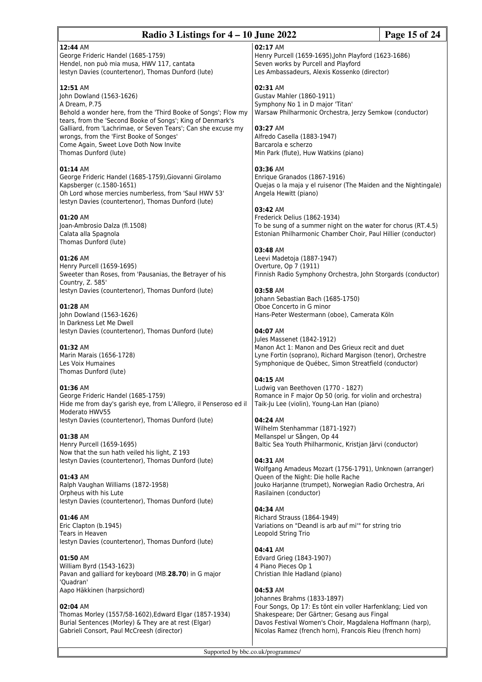# **Radio 3 Listings for 4 – 10 June 2022 Page 15 of 24**

# **12:44** AM

George Frideric Handel (1685-1759) Hendel, non può mia musa, HWV 117, cantata Iestyn Davies (countertenor), Thomas Dunford (lute)

# **12:51** AM

John Dowland (1563-1626) A Dream, P.75 Behold a wonder here, from the 'Third Booke of Songs'; Flow my tears, from the 'Second Booke of Songs'; King of Denmark's Galliard, from 'Lachrimae, or Seven Tears'; Can she excuse my wrongs, from the 'First Booke of Songes' Come Again, Sweet Love Doth Now Invite Thomas Dunford (lute)

# **01:14** AM

George Frideric Handel (1685-1759),Giovanni Girolamo Kapsberger (c.1580-1651) Oh Lord whose mercies numberless, from 'Saul HWV 53' Iestyn Davies (countertenor), Thomas Dunford (lute)

# **01:20** AM

Joan-Ambrosio Dalza (fl.1508) Calata alla Spagnola Thomas Dunford (lute)

# **01:26** AM

Henry Purcell (1659-1695) Sweeter than Roses, from 'Pausanias, the Betrayer of his Country, Z. 585' Iestyn Davies (countertenor), Thomas Dunford (lute)

# **01:28** AM

John Dowland (1563-1626) In Darkness Let Me Dwell Iestyn Davies (countertenor), Thomas Dunford (lute)

# **01:32** AM

Marin Marais (1656-1728) Les Voix Humaines Thomas Dunford (lute)

# **01:36** AM

George Frideric Handel (1685-1759) Hide me from day's garish eye, from L'Allegro, il Penseroso ed il Moderato HWV55 Iestyn Davies (countertenor), Thomas Dunford (lute)

# **01:38** AM

Henry Purcell (1659-1695) Now that the sun hath veiled his light, Z 193 Iestyn Davies (countertenor), Thomas Dunford (lute)

# **01:43** AM

Ralph Vaughan Williams (1872-1958) Orpheus with his Lute Iestyn Davies (countertenor), Thomas Dunford (lute)

# **01:46** AM

Eric Clapton (b.1945) Tears in Heaven Iestyn Davies (countertenor), Thomas Dunford (lute)

# **01:50** AM

William Byrd (1543-1623) Pavan and galliard for keyboard (MB.**28.70**) in G major 'Quadran' Aapo Häkkinen (harpsichord)

# **02:04** AM

Thomas Morley (1557/58-1602),Edward Elgar (1857-1934) Burial Sentences (Morley) & They are at rest (Elgar) Gabrieli Consort, Paul McCreesh (director)

**02:17** AM

Henry Purcell (1659-1695),John Playford (1623-1686) Seven works by Purcell and Playford Les Ambassadeurs, Alexis Kossenko (director)

# **02:31** AM

Gustav Mahler (1860-1911) Symphony No 1 in D major 'Titan' Warsaw Philharmonic Orchestra, Jerzy Semkow (conductor)

# **03:27** AM

Alfredo Casella (1883-1947) Barcarola e scherzo Min Park (flute), Huw Watkins (piano)

#### **03:36** AM

Enrique Granados (1867-1916) Quejas o la maja y el ruisenor (The Maiden and the Nightingale) Angela Hewitt (piano)

# **03:42** AM

Frederick Delius (1862-1934) To be sung of a summer night on the water for chorus (RT.4.5) Estonian Philharmonic Chamber Choir, Paul Hillier (conductor)

# **03:48** AM

Leevi Madetoja (1887-1947) Overture, Op 7 (1911) Finnish Radio Symphony Orchestra, John Storgards (conductor)

#### **03:58** AM Johann Sebastian Bach (1685-1750) Oboe Concerto in G minor

Hans-Peter Westermann (oboe), Camerata Köln

# **04:07** AM

**04:15** AM

Jules Massenet (1842-1912) Manon Act 1: Manon and Des Grieux recit and duet Lyne Fortin (soprano), Richard Margison (tenor), Orchestre Symphonique de Québec, Simon Streatfield (conductor)

# Ludwig van Beethoven (1770 - 1827)

Romance in F major Op 50 (orig. for violin and orchestra) Taik-Ju Lee (violin), Young-Lan Han (piano)

# **04:24** AM

Wilhelm Stenhammar (1871-1927) Mellanspel ur Sången, Op 44 Baltic Sea Youth Philharmonic, Kristjan Järvi (conductor)

# **04:31** AM

Wolfgang Amadeus Mozart (1756-1791), Unknown (arranger) Queen of the Night: Die holle Rache Jouko Harjanne (trumpet), Norwegian Radio Orchestra, Ari Rasilainen (conductor)

# **04:34** AM

Richard Strauss (1864-1949) Variations on "Deandl is arb auf mi'" for string trio Leopold String Trio

# **04:41** AM

Edvard Grieg (1843-1907) 4 Piano Pieces Op 1 Christian Ihle Hadland (piano)

# **04:53** AM

Johannes Brahms (1833-1897) Four Songs, Op 17: Es tönt ein voller Harfenklang; Lied von Shakespeare; Der Gärtner; Gesang aus Fingal Davos Festival Women's Choir, Magdalena Hoffmann (harp), Nicolas Ramez (french horn), Francois Rieu (french horn)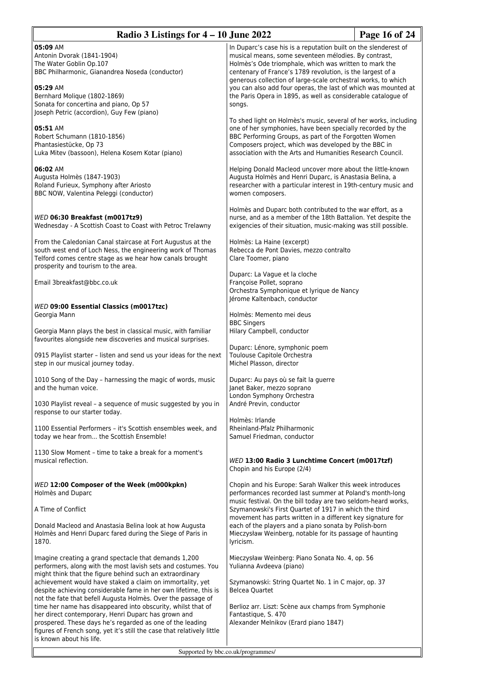| Radio 3 Listings for $4 - 10$ June 2022                                                                                                                                                                                                                                                                                                                                                                                                                                                                                                                                                                                                                                       |                                                                                                                                                                                                                                                                                                                                                                                                                                                               | Page 16 of 24 |
|-------------------------------------------------------------------------------------------------------------------------------------------------------------------------------------------------------------------------------------------------------------------------------------------------------------------------------------------------------------------------------------------------------------------------------------------------------------------------------------------------------------------------------------------------------------------------------------------------------------------------------------------------------------------------------|---------------------------------------------------------------------------------------------------------------------------------------------------------------------------------------------------------------------------------------------------------------------------------------------------------------------------------------------------------------------------------------------------------------------------------------------------------------|---------------|
| 05:09 AM<br>Antonin Dvorak (1841-1904)<br>The Water Goblin Op.107<br>BBC Philharmonic, Gianandrea Noseda (conductor)<br>05:29 AM<br>Bernhard Molique (1802-1869)<br>Sonata for concertina and piano, Op 57                                                                                                                                                                                                                                                                                                                                                                                                                                                                    | In Duparc's case his is a reputation built on the slenderest of<br>musical means, some seventeen mélodies. By contrast,<br>Holmès's Ode triomphale, which was written to mark the<br>centenary of France's 1789 revolution, is the largest of a<br>generous collection of large-scale orchestral works, to which<br>you can also add four operas, the last of which was mounted at<br>the Paris Opera in 1895, as well as considerable catalogue of<br>songs. |               |
| Joseph Petric (accordion), Guy Few (piano)<br>05:51 AM<br>Robert Schumann (1810-1856)<br>Phantasiestücke, Op 73<br>Luka Mitev (bassoon), Helena Kosem Kotar (piano)                                                                                                                                                                                                                                                                                                                                                                                                                                                                                                           | To shed light on Holmes's music, several of her works, including<br>one of her symphonies, have been specially recorded by the<br>BBC Performing Groups, as part of the Forgotten Women<br>Composers project, which was developed by the BBC in<br>association with the Arts and Humanities Research Council.                                                                                                                                                 |               |
| 06:02 AM<br>Augusta Holmès (1847-1903)<br>Roland Furieux, Symphony after Ariosto<br>BBC NOW, Valentina Peleggi (conductor)                                                                                                                                                                                                                                                                                                                                                                                                                                                                                                                                                    | Helping Donald Macleod uncover more about the little-known<br>Augusta Holmès and Henri Duparc, is Anastasia Belina, a<br>researcher with a particular interest in 19th-century music and<br>women composers.                                                                                                                                                                                                                                                  |               |
| WED 06:30 Breakfast (m0017tz9)<br>Wednesday - A Scottish Coast to Coast with Petroc Trelawny                                                                                                                                                                                                                                                                                                                                                                                                                                                                                                                                                                                  | Holmès and Duparc both contributed to the war effort, as a<br>nurse, and as a member of the 18th Battalion. Yet despite the<br>exigencies of their situation, music-making was still possible.                                                                                                                                                                                                                                                                |               |
| From the Caledonian Canal staircase at Fort Augustus at the<br>south west end of Loch Ness, the engineering work of Thomas<br>Telford comes centre stage as we hear how canals brought<br>prosperity and tourism to the area.                                                                                                                                                                                                                                                                                                                                                                                                                                                 | Holmès: La Haine (excerpt)<br>Rebecca de Pont Davies, mezzo contralto<br>Clare Toomer, piano                                                                                                                                                                                                                                                                                                                                                                  |               |
| Email 3breakfast@bbc.co.uk                                                                                                                                                                                                                                                                                                                                                                                                                                                                                                                                                                                                                                                    | Duparc: La Vague et la cloche<br>Françoise Pollet, soprano<br>Orchestra Symphonique et lyrique de Nancy<br>Jérome Kaltenbach, conductor                                                                                                                                                                                                                                                                                                                       |               |
| WED 09:00 Essential Classics (m0017tzc)<br>Georgia Mann                                                                                                                                                                                                                                                                                                                                                                                                                                                                                                                                                                                                                       | Holmès: Memento mei deus<br><b>BBC Singers</b>                                                                                                                                                                                                                                                                                                                                                                                                                |               |
| Georgia Mann plays the best in classical music, with familiar<br>favourites alongside new discoveries and musical surprises.                                                                                                                                                                                                                                                                                                                                                                                                                                                                                                                                                  | Hilary Campbell, conductor<br>Duparc: Lénore, symphonic poem                                                                                                                                                                                                                                                                                                                                                                                                  |               |
| 0915 Playlist starter - listen and send us your ideas for the next<br>step in our musical journey today.                                                                                                                                                                                                                                                                                                                                                                                                                                                                                                                                                                      | Toulouse Capitole Orchestra<br>Michel Plasson, director                                                                                                                                                                                                                                                                                                                                                                                                       |               |
| 1010 Song of the Day - harnessing the magic of words, music<br>and the human voice.                                                                                                                                                                                                                                                                                                                                                                                                                                                                                                                                                                                           | Duparc: Au pays où se fait la guerre<br>Janet Baker, mezzo soprano<br>London Symphony Orchestra                                                                                                                                                                                                                                                                                                                                                               |               |
| 1030 Playlist reveal - a sequence of music suggested by you in<br>response to our starter today.                                                                                                                                                                                                                                                                                                                                                                                                                                                                                                                                                                              | André Previn, conductor<br>Holmès: Irlande                                                                                                                                                                                                                                                                                                                                                                                                                    |               |
| 1100 Essential Performers - it's Scottish ensembles week, and<br>today we hear from the Scottish Ensemble!                                                                                                                                                                                                                                                                                                                                                                                                                                                                                                                                                                    | Rheinland-Pfalz Philharmonic<br>Samuel Friedman, conductor                                                                                                                                                                                                                                                                                                                                                                                                    |               |
| 1130 Slow Moment - time to take a break for a moment's<br>musical reflection.                                                                                                                                                                                                                                                                                                                                                                                                                                                                                                                                                                                                 | WED 13:00 Radio 3 Lunchtime Concert (m0017tzf)<br>Chopin and his Europe (2/4)                                                                                                                                                                                                                                                                                                                                                                                 |               |
| WED 12:00 Composer of the Week (m000kpkn)<br>Holmès and Duparc                                                                                                                                                                                                                                                                                                                                                                                                                                                                                                                                                                                                                | Chopin and his Europe: Sarah Walker this week introduces<br>performances recorded last summer at Poland's month-long<br>music festival. On the bill today are two seldom-heard works,                                                                                                                                                                                                                                                                         |               |
| A Time of Conflict                                                                                                                                                                                                                                                                                                                                                                                                                                                                                                                                                                                                                                                            | Szymanowski's First Quartet of 1917 in which the third<br>movement has parts written in a different key signature for                                                                                                                                                                                                                                                                                                                                         |               |
| Donald Macleod and Anastasia Belina look at how Augusta<br>Holmès and Henri Duparc fared during the Siege of Paris in<br>1870.                                                                                                                                                                                                                                                                                                                                                                                                                                                                                                                                                | each of the players and a piano sonata by Polish-born<br>Mieczysław Weinberg, notable for its passage of haunting<br>lyricism.                                                                                                                                                                                                                                                                                                                                |               |
| Imagine creating a grand spectacle that demands 1,200<br>performers, along with the most lavish sets and costumes. You<br>might think that the figure behind such an extraordinary<br>achievement would have staked a claim on immortality, yet<br>despite achieving considerable fame in her own lifetime, this is<br>not the fate that befell Augusta Holmès. Over the passage of<br>time her name has disappeared into obscurity, whilst that of<br>her direct contemporary, Henri Duparc has grown and<br>prospered. These days he's regarded as one of the leading<br>figures of French song, yet it's still the case that relatively little<br>is known about his life. | Mieczysław Weinberg: Piano Sonata No. 4, op. 56<br>Yulianna Avdeeva (piano)<br>Szymanowski: String Quartet No. 1 in C major, op. 37<br><b>Belcea Quartet</b><br>Berlioz arr. Liszt: Scène aux champs from Symphonie<br>Fantastique, S. 470<br>Alexander Melnikov (Erard piano 1847)                                                                                                                                                                           |               |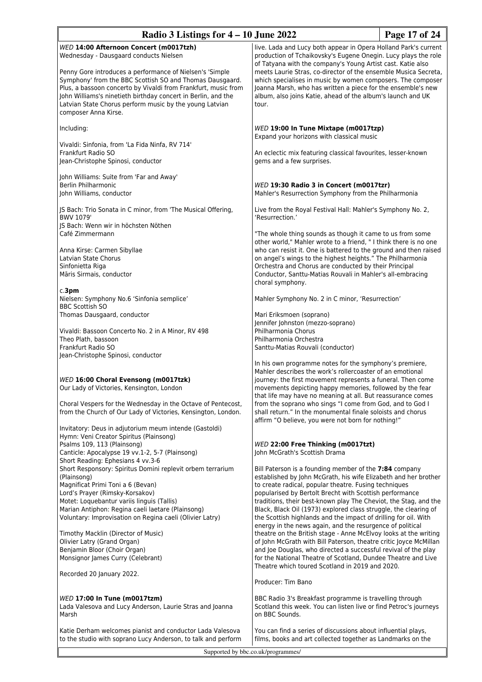| Radio 3 Listings for $4 - 10$ June 2022                                                                                                                                                                                                                                                                                                                                                                                                                                                          |                                                                                                                                                                                                                                                                                                                                                                                                                                                                                                                                                                                                                                                                                                                                                                                                   | Page 17 of 24 |
|--------------------------------------------------------------------------------------------------------------------------------------------------------------------------------------------------------------------------------------------------------------------------------------------------------------------------------------------------------------------------------------------------------------------------------------------------------------------------------------------------|---------------------------------------------------------------------------------------------------------------------------------------------------------------------------------------------------------------------------------------------------------------------------------------------------------------------------------------------------------------------------------------------------------------------------------------------------------------------------------------------------------------------------------------------------------------------------------------------------------------------------------------------------------------------------------------------------------------------------------------------------------------------------------------------------|---------------|
| WED 14:00 Afternoon Concert (m0017tzh)<br>Wednesday - Dausgaard conducts Nielsen<br>Penny Gore introduces a performance of Nielsen's 'Simple<br>Symphony' from the BBC Scottish SO and Thomas Dausgaard.<br>Plus, a bassoon concerto by Vivaldi from Frankfurt, music from<br>John Williams's ninetieth birthday concert in Berlin, and the<br>Latvian State Chorus perform music by the young Latvian<br>composer Anna Kirse.                                                                   | live. Lada and Lucy both appear in Opera Holland Park's current<br>production of Tchaikovsky's Eugene Onegin. Lucy plays the role<br>of Tatyana with the company's Young Artist cast. Katie also<br>meets Laurie Stras, co-director of the ensemble Musica Secreta,<br>which specialises in music by women composers. The composer<br>Joanna Marsh, who has written a piece for the ensemble's new<br>album, also joins Katie, ahead of the album's launch and UK<br>tour.                                                                                                                                                                                                                                                                                                                        |               |
| Including:                                                                                                                                                                                                                                                                                                                                                                                                                                                                                       | WED 19:00 In Tune Mixtape (m0017tzp)                                                                                                                                                                                                                                                                                                                                                                                                                                                                                                                                                                                                                                                                                                                                                              |               |
| Vivaldi: Sinfonia, from 'La Fida Ninfa, RV 714'<br>Frankfurt Radio SO<br>Jean-Christophe Spinosi, conductor                                                                                                                                                                                                                                                                                                                                                                                      | Expand your horizons with classical music<br>An eclectic mix featuring classical favourites, lesser-known<br>gems and a few surprises.                                                                                                                                                                                                                                                                                                                                                                                                                                                                                                                                                                                                                                                            |               |
| John Williams: Suite from 'Far and Away'<br>Berlin Philharmonic<br>John Williams, conductor                                                                                                                                                                                                                                                                                                                                                                                                      | WED 19:30 Radio 3 in Concert (m0017tzr)<br>Mahler's Resurrection Symphony from the Philharmonia                                                                                                                                                                                                                                                                                                                                                                                                                                                                                                                                                                                                                                                                                                   |               |
| JS Bach: Trio Sonata in C minor, from 'The Musical Offering,<br>BWV 1079'                                                                                                                                                                                                                                                                                                                                                                                                                        | Live from the Royal Festival Hall: Mahler's Symphony No. 2,<br>'Resurrection.'                                                                                                                                                                                                                                                                                                                                                                                                                                                                                                                                                                                                                                                                                                                    |               |
| JS Bach: Wenn wir in höchsten Nöthen<br>Café Zimmermann<br>Anna Kirse: Carmen Sibyllae<br>Latvian State Chorus<br>Sinfonietta Riga<br>Māris Sirmais, conductor                                                                                                                                                                                                                                                                                                                                   | "The whole thing sounds as though it came to us from some<br>other world," Mahler wrote to a friend, " I think there is no one<br>who can resist it. One is battered to the ground and then raised<br>on angel's wings to the highest heights." The Philharmonia<br>Orchestra and Chorus are conducted by their Principal<br>Conductor, Santtu-Matias Rouvali in Mahler's all-embracing<br>choral symphony.                                                                                                                                                                                                                                                                                                                                                                                       |               |
| c.3 <sub>pm</sub><br>Nielsen: Symphony No.6 'Sinfonia semplice'                                                                                                                                                                                                                                                                                                                                                                                                                                  | Mahler Symphony No. 2 in C minor, 'Resurrection'                                                                                                                                                                                                                                                                                                                                                                                                                                                                                                                                                                                                                                                                                                                                                  |               |
| <b>BBC Scottish SO</b><br>Thomas Dausgaard, conductor                                                                                                                                                                                                                                                                                                                                                                                                                                            | Mari Eriksmoen (soprano)<br>Jennifer Johnston (mezzo-soprano)                                                                                                                                                                                                                                                                                                                                                                                                                                                                                                                                                                                                                                                                                                                                     |               |
| Vivaldi: Bassoon Concerto No. 2 in A Minor, RV 498<br>Theo Plath, bassoon<br>Frankfurt Radio SO<br>Jean-Christophe Spinosi, conductor                                                                                                                                                                                                                                                                                                                                                            | Philharmonia Chorus<br>Philharmonia Orchestra<br>Santtu-Matias Rouvali (conductor)                                                                                                                                                                                                                                                                                                                                                                                                                                                                                                                                                                                                                                                                                                                |               |
| WED 16:00 Choral Evensong (m0017tzk)<br>Our Lady of Victories, Kensington, London<br>Choral Vespers for the Wednesday in the Octave of Pentecost,<br>from the Church of Our Lady of Victories, Kensington, London.<br>Invitatory: Deus in adjutorium meum intende (Gastoldi)                                                                                                                                                                                                                     | In his own programme notes for the symphony's premiere,<br>Mahler describes the work's rollercoaster of an emotional<br>journey: the first movement represents a funeral. Then come<br>movements depicting happy memories, followed by the fear<br>that life may have no meaning at all. But reassurance comes<br>from the soprano who sings "I come from God, and to God I<br>shall return." In the monumental finale soloists and chorus<br>affirm "O believe, you were not born for nothing!"                                                                                                                                                                                                                                                                                                  |               |
| Hymn: Veni Creator Spiritus (Plainsong)<br>Psalms 109, 113 (Plainsong)<br>Canticle: Apocalypse 19 vv.1-2, 5-7 (Plainsong)                                                                                                                                                                                                                                                                                                                                                                        | WED 22:00 Free Thinking (m0017tzt)<br>John McGrath's Scottish Drama                                                                                                                                                                                                                                                                                                                                                                                                                                                                                                                                                                                                                                                                                                                               |               |
| Short Reading: Ephesians 4 vv.3-6<br>Short Responsory: Spiritus Domini replevit orbem terrarium<br>(Plainsong)<br>Magnificat Primi Toni a 6 (Bevan)<br>Lord's Prayer (Rimsky-Korsakov)<br>Motet: Loquebantur variis linguis (Tallis)<br>Marian Antiphon: Regina caeli laetare (Plainsong)<br>Voluntary: Improvisation on Regina caeli (Olivier Latry)<br>Timothy Macklin (Director of Music)<br>Olivier Latry (Grand Organ)<br>Benjamin Bloor (Choir Organ)<br>Monsignor James Curry (Celebrant) | Bill Paterson is a founding member of the 7:84 company<br>established by John McGrath, his wife Elizabeth and her brother<br>to create radical, popular theatre. Fusing techniques<br>popularised by Bertolt Brecht with Scottish performance<br>traditions, their best-known play The Cheviot, the Stag, and the<br>Black, Black Oil (1973) explored class struggle, the clearing of<br>the Scottish highlands and the impact of drilling for oil. With<br>energy in the news again, and the resurgence of political<br>theatre on the British stage - Anne McElvoy looks at the writing<br>of John McGrath with Bill Paterson, theatre critic Joyce McMillan<br>and Joe Douglas, who directed a successful revival of the play<br>for the National Theatre of Scotland, Dundee Theatre and Live |               |
| Recorded 20 January 2022.                                                                                                                                                                                                                                                                                                                                                                                                                                                                        | Theatre which toured Scotland in 2019 and 2020.<br>Producer: Tim Bano                                                                                                                                                                                                                                                                                                                                                                                                                                                                                                                                                                                                                                                                                                                             |               |
| WED 17:00 In Tune (m0017tzm)<br>Lada Valesova and Lucy Anderson, Laurie Stras and Joanna<br>Marsh                                                                                                                                                                                                                                                                                                                                                                                                | BBC Radio 3's Breakfast programme is travelling through<br>Scotland this week. You can listen live or find Petroc's journeys<br>on BBC Sounds.                                                                                                                                                                                                                                                                                                                                                                                                                                                                                                                                                                                                                                                    |               |
| Katie Derham welcomes pianist and conductor Lada Valesova<br>to the studio with soprano Lucy Anderson, to talk and perform                                                                                                                                                                                                                                                                                                                                                                       | You can find a series of discussions about influential plays,<br>films, books and art collected together as Landmarks on the                                                                                                                                                                                                                                                                                                                                                                                                                                                                                                                                                                                                                                                                      |               |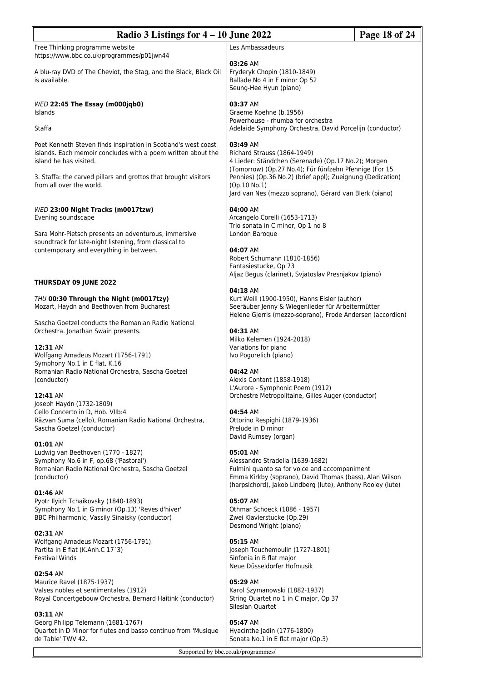| Radio 3 Listings for $4 - 10$ June 2022<br>Page 18 of 24                                                                                                  |                                                                                                                                                                              |  |  |  |
|-----------------------------------------------------------------------------------------------------------------------------------------------------------|------------------------------------------------------------------------------------------------------------------------------------------------------------------------------|--|--|--|
| Free Thinking programme website<br>https://www.bbc.co.uk/programmes/p01jwn44                                                                              | Les Ambassadeurs                                                                                                                                                             |  |  |  |
| A blu-ray DVD of The Cheviot, the Stag, and the Black, Black Oil<br>is available.                                                                         | 03:26 AM<br>Fryderyk Chopin (1810-1849)<br>Ballade No 4 in F minor Op 52<br>Seung-Hee Hyun (piano)                                                                           |  |  |  |
| WED 22:45 The Essay (m000jqb0)<br>Islands                                                                                                                 | 03:37 AM<br>Graeme Koehne (b.1956)                                                                                                                                           |  |  |  |
| Staffa                                                                                                                                                    | Powerhouse - rhumba for orchestra<br>Adelaide Symphony Orchestra, David Porcelijn (conductor)                                                                                |  |  |  |
| Poet Kenneth Steven finds inspiration in Scotland's west coast<br>islands. Each memoir concludes with a poem written about the<br>island he has visited.  | 03:49 AM<br>Richard Strauss (1864-1949)<br>4 Lieder: Ständchen (Serenade) (Op.17 No.2); Morgen<br>(Tomorrow) (Op.27 No.4); Für fünfzehn Pfennige (For 15                     |  |  |  |
| 3. Staffa: the carved pillars and grottos that brought visitors<br>from all over the world.                                                               | Pennies) (Op.36 No.2) (brief appl); Zueignung (Dedication)<br>(Op.10 No.1)<br>Jard van Nes (mezzo soprano), Gérard van Blerk (piano)                                         |  |  |  |
| WED 23:00 Night Tracks (m0017tzw)<br>Evening soundscape                                                                                                   | 04:00 AM<br>Arcangelo Corelli (1653-1713)<br>Trio sonata in C minor, Op 1 no 8                                                                                               |  |  |  |
| Sara Mohr-Pietsch presents an adventurous, immersive<br>soundtrack for late-night listening, from classical to<br>contemporary and everything in between. | London Baroque<br>04:07 AM                                                                                                                                                   |  |  |  |
|                                                                                                                                                           | Robert Schumann (1810-1856)<br>Fantasiestucke, Op 73                                                                                                                         |  |  |  |
| THURSDAY 09 JUNE 2022                                                                                                                                     | Aljaz Begus (clarinet), Svjatoslav Presnjakov (piano)                                                                                                                        |  |  |  |
| THU 00:30 Through the Night (m0017tzy)<br>Mozart, Haydn and Beethoven from Bucharest                                                                      | 04:18 AM<br>Kurt Weill (1900-1950), Hanns Eisler (author)<br>Seeräuber Jenny & Wiegenlieder für Arbeitermütter<br>Helene Gjerris (mezzo-soprano), Frode Andersen (accordion) |  |  |  |
| Sascha Goetzel conducts the Romanian Radio National<br>Orchestra. Jonathan Swain presents.                                                                | 04:31 AM<br>Milko Kelemen (1924-2018)                                                                                                                                        |  |  |  |
| 12:31 AM<br>Wolfgang Amadeus Mozart (1756-1791)<br>Symphony No.1 in E flat, K.16                                                                          | Variations for piano<br>Ivo Pogorelich (piano)                                                                                                                               |  |  |  |
| Romanian Radio National Orchestra, Sascha Goetzel<br>(conductor)                                                                                          | 04:42 AM<br>Alexis Contant (1858-1918)<br>L'Aurore - Symphonic Poem (1912)                                                                                                   |  |  |  |
| 12:41 AM<br>Joseph Haydn (1732-1809)<br>Cello Concerto in D, Hob. VIIb:4                                                                                  | Orchestre Metropolitaine, Gilles Auger (conductor)<br>04:54 AM                                                                                                               |  |  |  |
| Răzvan Suma (cello), Romanian Radio National Orchestra,<br>Sascha Goetzel (conductor)                                                                     | Ottorino Respighi (1879-1936)<br>Prelude in D minor<br>David Rumsey (organ)                                                                                                  |  |  |  |
| 01:01 AM<br>Ludwig van Beethoven (1770 - 1827)<br>Symphony No.6 in F, op.68 ('Pastoral')                                                                  | 05:01 AM<br>Alessandro Stradella (1639-1682)                                                                                                                                 |  |  |  |
| Romanian Radio National Orchestra, Sascha Goetzel<br>(conductor)                                                                                          | Fulmini quanto sa for voice and accompaniment<br>Emma Kirkby (soprano), David Thomas (bass), Alan Wilson<br>(harpsichord), Jakob Lindberg (lute), Anthony Rooley (lute)      |  |  |  |
| 01:46 AM<br>Pyotr Ilyich Tchaikovsky (1840-1893)<br>Symphony No.1 in G minor (Op.13) 'Reves d'hiver'<br>BBC Philharmonic, Vassily Sinaisky (conductor)    | 05:07 AM<br>Othmar Schoeck (1886 - 1957)<br>Zwei Klavierstucke (Op.29)                                                                                                       |  |  |  |
| 02:31 AM<br>Wolfgang Amadeus Mozart (1756-1791)<br>Partita in E flat (K.Anh.C 17`3)                                                                       | Desmond Wright (piano)<br>05:15 AM<br>Joseph Touchemoulin (1727-1801)                                                                                                        |  |  |  |
| <b>Festival Winds</b>                                                                                                                                     | Sinfonia in B flat major<br>Neue Düsseldorfer Hofmusik                                                                                                                       |  |  |  |
| 02:54 AM<br>Maurice Ravel (1875-1937)<br>Valses nobles et sentimentales (1912)<br>Royal Concertgebouw Orchestra, Bernard Haitink (conductor)              | 05:29 AM<br>Karol Szymanowski (1882-1937)<br>String Quartet no 1 in C major, Op 37<br>Silesian Quartet                                                                       |  |  |  |
| 03:11 AM<br>Georg Philipp Telemann (1681-1767)<br>Quartet in D Minor for flutes and basso continuo from 'Musique<br>de Table' TWV 42.                     | 05:47 AM<br>Hyacinthe Jadin (1776-1800)<br>Sonata No.1 in E flat major (Op.3)                                                                                                |  |  |  |
|                                                                                                                                                           | Supported by bbc.co.uk/programmes/                                                                                                                                           |  |  |  |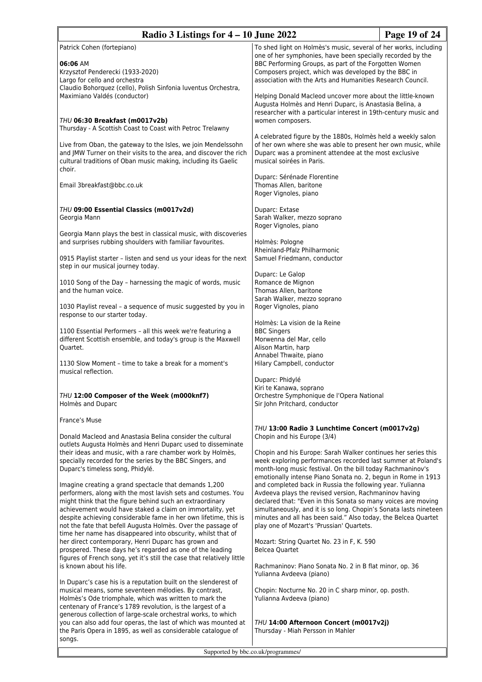| Radio 3 Listings for $4 - 10$ June 2022                                                                                                                                                                                                                                                                                                                                                                                                                                                                    |                                                                                                                                                                                                                                                                                                                                                                             | Page 19 of 24 |
|------------------------------------------------------------------------------------------------------------------------------------------------------------------------------------------------------------------------------------------------------------------------------------------------------------------------------------------------------------------------------------------------------------------------------------------------------------------------------------------------------------|-----------------------------------------------------------------------------------------------------------------------------------------------------------------------------------------------------------------------------------------------------------------------------------------------------------------------------------------------------------------------------|---------------|
| Patrick Cohen (fortepiano)<br>06:06 AM<br>Krzysztof Penderecki (1933-2020)<br>Largo for cello and orchestra<br>Claudio Bohorquez (cello), Polish Sinfonia luventus Orchestra,<br>Maximiano Valdés (conductor)                                                                                                                                                                                                                                                                                              | To shed light on Holmès's music, several of her works, including<br>one of her symphonies, have been specially recorded by the<br>BBC Performing Groups, as part of the Forgotten Women<br>Composers project, which was developed by the BBC in<br>association with the Arts and Humanities Research Council.<br>Helping Donald Macleod uncover more about the little-known |               |
| THU 06:30 Breakfast (m0017v2b)<br>Thursday - A Scottish Coast to Coast with Petroc Trelawny                                                                                                                                                                                                                                                                                                                                                                                                                | Augusta Holmès and Henri Duparc, is Anastasia Belina, a<br>researcher with a particular interest in 19th-century music and<br>women composers.                                                                                                                                                                                                                              |               |
| Live from Oban, the gateway to the Isles, we join Mendelssohn<br>and JMW Turner on their visits to the area, and discover the rich<br>cultural traditions of Oban music making, including its Gaelic<br>choir.                                                                                                                                                                                                                                                                                             | A celebrated figure by the 1880s, Holmès held a weekly salon<br>of her own where she was able to present her own music, while<br>Duparc was a prominent attendee at the most exclusive<br>musical soirées in Paris.                                                                                                                                                         |               |
| Email 3breakfast@bbc.co.uk                                                                                                                                                                                                                                                                                                                                                                                                                                                                                 | Duparc: Sérénade Florentine<br>Thomas Allen, baritone<br>Roger Vignoles, piano                                                                                                                                                                                                                                                                                              |               |
| THU 09:00 Essential Classics (m0017v2d)<br>Georgia Mann<br>Georgia Mann plays the best in classical music, with discoveries                                                                                                                                                                                                                                                                                                                                                                                | Duparc: Extase<br>Sarah Walker, mezzo soprano<br>Roger Vignoles, piano                                                                                                                                                                                                                                                                                                      |               |
| and surprises rubbing shoulders with familiar favourites.<br>0915 Playlist starter - listen and send us your ideas for the next<br>step in our musical journey today.                                                                                                                                                                                                                                                                                                                                      | Holmès: Pologne<br>Rheinland-Pfalz Philharmonic<br>Samuel Friedmann, conductor                                                                                                                                                                                                                                                                                              |               |
| 1010 Song of the Day - harnessing the magic of words, music<br>and the human voice.                                                                                                                                                                                                                                                                                                                                                                                                                        | Duparc: Le Galop<br>Romance de Mignon<br>Thomas Allen, baritone<br>Sarah Walker, mezzo soprano                                                                                                                                                                                                                                                                              |               |
| 1030 Playlist reveal - a sequence of music suggested by you in<br>response to our starter today.                                                                                                                                                                                                                                                                                                                                                                                                           | Roger Vignoles, piano<br>Holmès: La vision de la Reine                                                                                                                                                                                                                                                                                                                      |               |
| 1100 Essential Performers - all this week we're featuring a<br>different Scottish ensemble, and today's group is the Maxwell<br>Quartet.                                                                                                                                                                                                                                                                                                                                                                   | <b>BBC Singers</b><br>Morwenna del Mar, cello<br>Alison Martin, harp<br>Annabel Thwaite, piano                                                                                                                                                                                                                                                                              |               |
| 1130 Slow Moment - time to take a break for a moment's<br>musical reflection.                                                                                                                                                                                                                                                                                                                                                                                                                              | Hilary Campbell, conductor<br>Duparc: Phidylé                                                                                                                                                                                                                                                                                                                               |               |
| THU 12:00 Composer of the Week (m000knf7)<br>Holmès and Duparc                                                                                                                                                                                                                                                                                                                                                                                                                                             | Kiri te Kanawa, soprano<br>Orchestre Symphonique de l'Opera National<br>Sir John Pritchard, conductor                                                                                                                                                                                                                                                                       |               |
| France's Muse<br>Donald Macleod and Anastasia Belina consider the cultural                                                                                                                                                                                                                                                                                                                                                                                                                                 | THU 13:00 Radio 3 Lunchtime Concert (m0017v2g)<br>Chopin and his Europe (3/4)                                                                                                                                                                                                                                                                                               |               |
| outlets Augusta Holmès and Henri Duparc used to disseminate<br>their ideas and music, with a rare chamber work by Holmès,<br>specially recorded for the series by the BBC Singers, and<br>Duparc's timeless song, Phidylé.                                                                                                                                                                                                                                                                                 | Chopin and his Europe: Sarah Walker continues her series this<br>week exploring performances recorded last summer at Poland's<br>month-long music festival. On the bill today Rachmaninov's<br>emotionally intense Piano Sonata no. 2, begun in Rome in 1913                                                                                                                |               |
| Imagine creating a grand spectacle that demands 1,200<br>performers, along with the most lavish sets and costumes. You<br>might think that the figure behind such an extraordinary<br>achievement would have staked a claim on immortality, yet<br>despite achieving considerable fame in her own lifetime, this is<br>not the fate that befell Augusta Holmès. Over the passage of<br>time her name has disappeared into obscurity, whilst that of<br>her direct contemporary, Henri Duparc has grown and | and completed back in Russia the following year. Yulianna<br>Avdeeva plays the revised version, Rachmaninov having<br>declared that: "Even in this Sonata so many voices are moving<br>simultaneously, and it is so long. Chopin's Sonata lasts nineteen<br>minutes and all has been said." Also today, the Belcea Quartet<br>play one of Mozart's 'Prussian' Quartets.     |               |
| prospered. These days he's regarded as one of the leading<br>figures of French song, yet it's still the case that relatively little<br>is known about his life.                                                                                                                                                                                                                                                                                                                                            | Mozart: String Quartet No. 23 in F, K. 590<br><b>Belcea Quartet</b><br>Rachmaninov: Piano Sonata No. 2 in B flat minor, op. 36<br>Yulianna Avdeeva (piano)                                                                                                                                                                                                                  |               |
| In Duparc's case his is a reputation built on the slenderest of<br>musical means, some seventeen mélodies. By contrast,<br>Holmès's Ode triomphale, which was written to mark the<br>centenary of France's 1789 revolution, is the largest of a<br>generous collection of large-scale orchestral works, to which                                                                                                                                                                                           | Chopin: Nocturne No. 20 in C sharp minor, op. posth.<br>Yulianna Avdeeva (piano)                                                                                                                                                                                                                                                                                            |               |
| you can also add four operas, the last of which was mounted at<br>the Paris Opera in 1895, as well as considerable catalogue of<br>songs.                                                                                                                                                                                                                                                                                                                                                                  | THU 14:00 Afternoon Concert (m0017v2j)<br>Thursday - Miah Persson in Mahler                                                                                                                                                                                                                                                                                                 |               |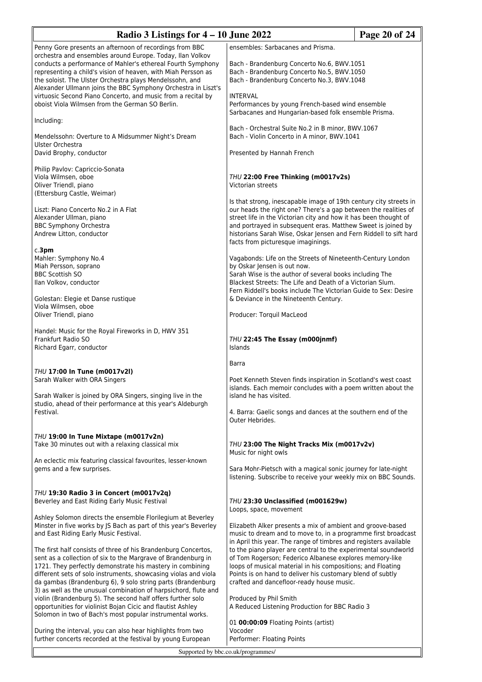| Radio 3 Listings for $4 - 10$ June 2022                                                                                                                                                                                                                                                                                                                                                           |                                                                                                                                                                                                                                                                                                                                                                                                          | Page 20 of 24 |
|---------------------------------------------------------------------------------------------------------------------------------------------------------------------------------------------------------------------------------------------------------------------------------------------------------------------------------------------------------------------------------------------------|----------------------------------------------------------------------------------------------------------------------------------------------------------------------------------------------------------------------------------------------------------------------------------------------------------------------------------------------------------------------------------------------------------|---------------|
| Penny Gore presents an afternoon of recordings from BBC                                                                                                                                                                                                                                                                                                                                           | ensembles: Sarbacanes and Prisma.                                                                                                                                                                                                                                                                                                                                                                        |               |
| orchestra and ensembles around Europe. Today, Ilan Volkov<br>conducts a performance of Mahler's ethereal Fourth Symphony<br>representing a child's vision of heaven, with Miah Persson as<br>the soloist. The Ulster Orchestra plays Mendelssohn, and<br>Alexander Ullmann joins the BBC Symphony Orchestra in Liszt's                                                                            | Bach - Brandenburg Concerto No.6, BWV.1051<br>Bach - Brandenburg Concerto No.5, BWV.1050<br>Bach - Brandenburg Concerto No.3, BWV.1048                                                                                                                                                                                                                                                                   |               |
| virtuosic Second Piano Concerto, and music from a recital by<br>oboist Viola Wilmsen from the German SO Berlin.                                                                                                                                                                                                                                                                                   | <b>INTERVAL</b><br>Performances by young French-based wind ensemble<br>Sarbacanes and Hungarian-based folk ensemble Prisma.                                                                                                                                                                                                                                                                              |               |
| Including:                                                                                                                                                                                                                                                                                                                                                                                        | Bach - Orchestral Suite No.2 in B minor, BWV.1067                                                                                                                                                                                                                                                                                                                                                        |               |
| Mendelssohn: Overture to A Midsummer Night's Dream<br>Ulster Orchestra                                                                                                                                                                                                                                                                                                                            | Bach - Violin Concerto in A minor, BWV.1041                                                                                                                                                                                                                                                                                                                                                              |               |
| David Brophy, conductor                                                                                                                                                                                                                                                                                                                                                                           | Presented by Hannah French                                                                                                                                                                                                                                                                                                                                                                               |               |
| Philip Pavlov: Capriccio-Sonata<br>Viola Wilmsen, oboe<br>Oliver Triendl, piano<br>(Ettersburg Castle, Weimar)                                                                                                                                                                                                                                                                                    | THU 22:00 Free Thinking (m0017v2s)<br>Victorian streets                                                                                                                                                                                                                                                                                                                                                  |               |
| Liszt: Piano Concerto No.2 in A Flat<br>Alexander Ullman, piano<br><b>BBC Symphony Orchestra</b><br>Andrew Litton, conductor                                                                                                                                                                                                                                                                      | Is that strong, inescapable image of 19th century city streets in<br>our heads the right one? There's a gap between the realities of<br>street life in the Victorian city and how it has been thought of<br>and portrayed in subsequent eras. Matthew Sweet is joined by<br>historians Sarah Wise, Oskar Jensen and Fern Riddell to sift hard<br>facts from picturesque imaginings.                      |               |
| c.3 <sub>pm</sub><br>Mahler: Symphony No.4<br>Miah Persson, soprano<br><b>BBC Scottish SO</b><br>Ilan Volkov, conductor                                                                                                                                                                                                                                                                           | Vagabonds: Life on the Streets of Nineteenth-Century London<br>by Oskar Jensen is out now.<br>Sarah Wise is the author of several books including The<br>Blackest Streets: The Life and Death of a Victorian Slum.<br>Fern Riddell's books include The Victorian Guide to Sex: Desire<br>& Deviance in the Nineteenth Century.<br>Producer: Torquil MacLeod<br>THU 22:45 The Essay (m000jnmf)<br>Islands |               |
| Golestan: Elegie et Danse rustique<br>Viola Wilmsen, oboe<br>Oliver Triendl, piano                                                                                                                                                                                                                                                                                                                |                                                                                                                                                                                                                                                                                                                                                                                                          |               |
| Handel: Music for the Royal Fireworks in D, HWV 351<br>Frankfurt Radio SO<br>Richard Egarr, conductor                                                                                                                                                                                                                                                                                             |                                                                                                                                                                                                                                                                                                                                                                                                          |               |
|                                                                                                                                                                                                                                                                                                                                                                                                   | Barra                                                                                                                                                                                                                                                                                                                                                                                                    |               |
| THU 17:00 In Tune (m0017v2l)<br>Sarah Walker with ORA Singers                                                                                                                                                                                                                                                                                                                                     | Poet Kenneth Steven finds inspiration in Scotland's west coast<br>islands. Each memoir concludes with a poem written about the                                                                                                                                                                                                                                                                           |               |
| Sarah Walker is joined by ORA Singers, singing live in the<br>studio, ahead of their performance at this year's Aldeburgh<br>Festival.                                                                                                                                                                                                                                                            | island he has visited.<br>4. Barra: Gaelic songs and dances at the southern end of the<br>Outer Hebrides.                                                                                                                                                                                                                                                                                                |               |
| THU 19:00 In Tune Mixtape (m0017v2n)<br>Take 30 minutes out with a relaxing classical mix                                                                                                                                                                                                                                                                                                         | THU 23:00 The Night Tracks Mix (m0017v2v)<br>Music for night owls                                                                                                                                                                                                                                                                                                                                        |               |
| An eclectic mix featuring classical favourites, lesser-known<br>gems and a few surprises.                                                                                                                                                                                                                                                                                                         | Sara Mohr-Pietsch with a magical sonic journey for late-night<br>listening. Subscribe to receive your weekly mix on BBC Sounds.                                                                                                                                                                                                                                                                          |               |
| THU 19:30 Radio 3 in Concert (m0017v2q)<br>Beverley and East Riding Early Music Festival                                                                                                                                                                                                                                                                                                          | THU 23:30 Unclassified (m001629w)<br>Loops, space, movement                                                                                                                                                                                                                                                                                                                                              |               |
| Ashley Solomon directs the ensemble Florilegium at Beverley<br>Minster in five works by JS Bach as part of this year's Beverley<br>and East Riding Early Music Festival.                                                                                                                                                                                                                          | Elizabeth Alker presents a mix of ambient and groove-based<br>music to dream and to move to, in a programme first broadcast<br>in April this year. The range of timbres and registers available                                                                                                                                                                                                          |               |
| The first half consists of three of his Brandenburg Concertos,<br>sent as a collection of six to the Margrave of Brandenburg in<br>1721. They perfectly demonstrate his mastery in combining<br>different sets of solo instruments, showcasing violas and viola<br>da gambas (Brandenburg 6), 9 solo string parts (Brandenburg<br>3) as well as the unusual combination of harpsichord, flute and | to the piano player are central to the experimental soundworld<br>of Tom Rogerson; Federico Albanese explores memory-like<br>loops of musical material in his compositions; and Floating<br>Points is on hand to deliver his customary blend of subtly<br>crafted and dancefloor-ready house music.                                                                                                      |               |
| violin (Brandenburg 5). The second half offers further solo<br>opportunities for violinist Bojan Cicic and flautist Ashley<br>Solomon in two of Bach's most popular instrumental works.                                                                                                                                                                                                           | Produced by Phil Smith<br>A Reduced Listening Production for BBC Radio 3                                                                                                                                                                                                                                                                                                                                 |               |
| During the interval, you can also hear highlights from two<br>further concerts recorded at the festival by young European                                                                                                                                                                                                                                                                         | 01 00:00:09 Floating Points (artist)<br>Vocoder<br>Performer: Floating Points                                                                                                                                                                                                                                                                                                                            |               |
| Supported by bbc.co.uk/programmes/                                                                                                                                                                                                                                                                                                                                                                |                                                                                                                                                                                                                                                                                                                                                                                                          |               |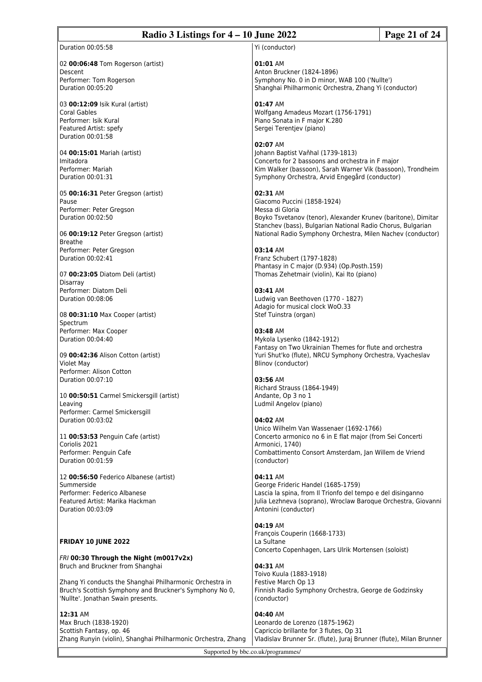# **Radio 3 Listings for 4 – 10 June 2022 Page 21 of 24**

Duration 00:05:58

02 **00:06:48** Tom Rogerson (artist) Descent Performer: Tom Rogerson Duration 00:05:20

03 **00:12:09** Isik Kural (artist) Coral Gables Performer: Isik Kural Featured Artist: spefy Duration 00:01:58

04 **00:15:01** Mariah (artist) Imitadora Performer: Mariah Duration 00:01:31

05 **00:16:31** Peter Gregson (artist) Pause Performer: Peter Gregson Duration 00:02:50

06 **00:19:12** Peter Gregson (artist) Breathe Performer: Peter Gregson Duration 00:02:41

07 **00:23:05** Diatom Deli (artist) Disarray Performer: Diatom Deli Duration 00:08:06

08 **00:31:10** Max Cooper (artist) Spectrum Performer: Max Cooper Duration 00:04:40

09 **00:42:36** Alison Cotton (artist) Violet May Performer: Alison Cotton Duration 00:07:10

10 **00:50:51** Carmel Smickersgill (artist) Leaving Performer: Carmel Smickersgill Duration 00:03:02

11 **00:53:53** Penguin Cafe (artist) Coriolis 2021 Performer: Penguin Cafe Duration 00:01:59

12 **00:56:50** Federico Albanese (artist) Summerside Performer: Federico Albanese Featured Artist: Marika Hackman Duration 00:03:09

# **FRIDAY 10 JUNE 2022**

*FRI* **00:30 Through the Night (m0017v2x)** Bruch and Bruckner from Shanghai

Zhang Yi conducts the Shanghai Philharmonic Orchestra in Bruch's Scottish Symphony and Bruckner's Symphony No 0, 'Nullte'. Jonathan Swain presents.

# **12:31** AM

Max Bruch (1838-1920) Scottish Fantasy, op. 46 Zhang Runyin (violin), Shanghai Philharmonic Orchestra, Zhang

Yi (conductor)

# **01:01** AM

Anton Bruckner (1824-1896) Symphony No. 0 in D minor, WAB 100 ('Nullte') Shanghai Philharmonic Orchestra, Zhang Yi (conductor)

**01:47** AM

Wolfgang Amadeus Mozart (1756-1791) Piano Sonata in F major K.280 Sergei Terentjev (piano)

**02:07** AM Johann Baptist Vaňhal (1739-1813) Concerto for 2 bassoons and orchestra in F major Kim Walker (bassoon), Sarah Warner Vik (bassoon), Trondheim Symphony Orchestra, Arvid Engegård (conductor)

# **02:31** AM

Giacomo Puccini (1858-1924) Messa di Gloria Boyko Tsvetanov (tenor), Alexander Krunev (baritone), Dimitar Stanchev (bass), Bulgarian National Radio Chorus, Bulgarian National Radio Symphony Orchestra, Milen Nachev (conductor)

# **03:14** AM

Franz Schubert (1797-1828) Phantasy in C major (D.934) (Op.Posth.159) Thomas Zehetmair (violin), Kai Ito (piano)

**03:41** AM

Ludwig van Beethoven (1770 - 1827) Adagio for musical clock WoO.33 Stef Tuinstra (organ)

# **03:48** AM

Mykola Lysenko (1842-1912) Fantasy on Two Ukrainian Themes for flute and orchestra Yuri Shut'ko (flute), NRCU Symphony Orchestra, Vyacheslav Blinov (conductor)

# **03:56** AM

Richard Strauss (1864-1949) Andante, Op 3 no 1 Ludmil Angelov (piano)

# **04:02** AM

Unico Wilhelm Van Wassenaer (1692-1766) Concerto armonico no 6 in E flat major (from Sei Concerti Armonici, 1740) Combattimento Consort Amsterdam, Jan Willem de Vriend (conductor)

# **04:11** AM

George Frideric Handel (1685-1759) Lascia la spina, from Il Trionfo del tempo e del disinganno Julia Lezhneva (soprano), Wroclaw Baroque Orchestra, Giovanni Antonini (conductor)

# **04:19** AM

François Couperin (1668-1733) La Sultane Concerto Copenhagen, Lars Ulrik Mortensen (soloist)

# **04:31** AM

Toivo Kuula (1883-1918) Festive March Op 13 Finnish Radio Symphony Orchestra, George de Godzinsky (conductor)

# **04:40** AM

Leonardo de Lorenzo (1875-1962) Capriccio brillante for 3 flutes, Op 31 Vladislav Brunner Sr. (flute), Juraj Brunner (flute), Milan Brunner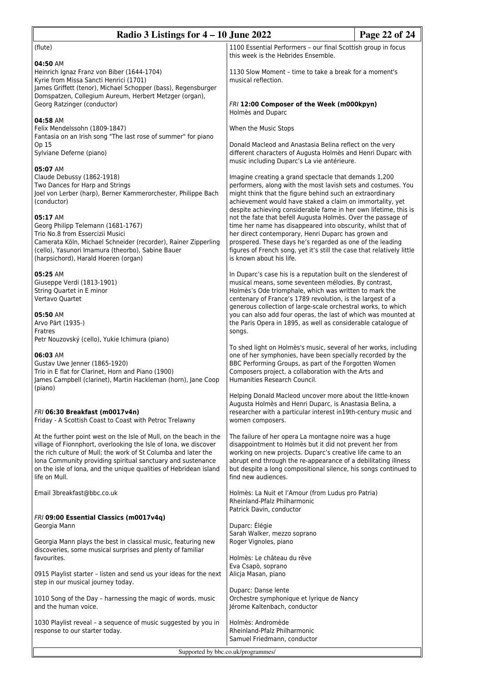| Radio 3 Listings for $4 - 10$ June 2022                                                                                                                                                                                                                                                                                                                       |                                                                                                                                                                                                                                                                                                                                                                                                                                                                                                                                                                                                                                                                               | Page 22 of 24 |  |
|---------------------------------------------------------------------------------------------------------------------------------------------------------------------------------------------------------------------------------------------------------------------------------------------------------------------------------------------------------------|-------------------------------------------------------------------------------------------------------------------------------------------------------------------------------------------------------------------------------------------------------------------------------------------------------------------------------------------------------------------------------------------------------------------------------------------------------------------------------------------------------------------------------------------------------------------------------------------------------------------------------------------------------------------------------|---------------|--|
| (flute)                                                                                                                                                                                                                                                                                                                                                       | 1100 Essential Performers - our final Scottish group in focus<br>this week is the Hebrides Ensemble.                                                                                                                                                                                                                                                                                                                                                                                                                                                                                                                                                                          |               |  |
| 04:50 AM<br>Heinrich Ignaz Franz von Biber (1644-1704)<br>Kyrie from Missa Sancti Henrici (1701)<br>James Griffett (tenor), Michael Schopper (bass), Regensburger                                                                                                                                                                                             | 1130 Slow Moment - time to take a break for a moment's<br>musical reflection.                                                                                                                                                                                                                                                                                                                                                                                                                                                                                                                                                                                                 |               |  |
| Domspatzen, Collegium Aureum, Herbert Metzger (organ),<br>Georg Ratzinger (conductor)                                                                                                                                                                                                                                                                         | FRI 12:00 Composer of the Week (m000kpyn)<br>Holmès and Duparc                                                                                                                                                                                                                                                                                                                                                                                                                                                                                                                                                                                                                |               |  |
| 04:58 AM<br>Felix Mendelssohn (1809-1847)<br>Fantasia on an Irish song "The last rose of summer" for piano                                                                                                                                                                                                                                                    | When the Music Stops                                                                                                                                                                                                                                                                                                                                                                                                                                                                                                                                                                                                                                                          |               |  |
| Op 15<br>Sylviane Deferne (piano)                                                                                                                                                                                                                                                                                                                             | Donald Macleod and Anastasia Belina reflect on the very<br>different characters of Augusta Holmès and Henri Duparc with<br>music including Duparc's La vie antérieure.                                                                                                                                                                                                                                                                                                                                                                                                                                                                                                        |               |  |
| 05:07 AM<br>Claude Debussy (1862-1918)<br>Two Dances for Harp and Strings<br>Joel von Lerber (harp), Berner Kammerorchester, Philippe Bach<br>(conductor)                                                                                                                                                                                                     | Imagine creating a grand spectacle that demands 1,200<br>performers, along with the most lavish sets and costumes. You<br>might think that the figure behind such an extraordinary<br>achievement would have staked a claim on immortality, yet<br>despite achieving considerable fame in her own lifetime, this is<br>not the fate that befell Augusta Holmès. Over the passage of<br>time her name has disappeared into obscurity, whilst that of<br>her direct contemporary, Henri Duparc has grown and<br>prospered. These days he's regarded as one of the leading<br>figures of French song, yet it's still the case that relatively little<br>is known about his life. |               |  |
| 05:17 AM<br>Georg Philipp Telemann (1681-1767)<br>Trio No.8 from Essercizii Musici<br>Camerata Köln, Michael Schneider (recorder), Rainer Zipperling<br>(cello), Yasunori Imamura (theorbo), Sabine Bauer<br>(harpsichord), Harald Hoeren (organ)                                                                                                             |                                                                                                                                                                                                                                                                                                                                                                                                                                                                                                                                                                                                                                                                               |               |  |
| 05:25 AM<br>Giuseppe Verdi (1813-1901)<br>String Quartet in E minor<br>Vertavo Quartet<br>05:50 AM                                                                                                                                                                                                                                                            | In Duparc's case his is a reputation built on the slenderest of<br>musical means, some seventeen mélodies. By contrast,<br>Holmès's Ode triomphale, which was written to mark the<br>centenary of France's 1789 revolution, is the largest of a<br>generous collection of large-scale orchestral works, to which<br>you can also add four operas, the last of which was mounted at                                                                                                                                                                                                                                                                                            |               |  |
| Arvo Pärt (1935-)<br>Fratres<br>Petr Nouzovský (cello), Yukie Ichimura (piano)                                                                                                                                                                                                                                                                                | the Paris Opera in 1895, as well as considerable catalogue of<br>songs.                                                                                                                                                                                                                                                                                                                                                                                                                                                                                                                                                                                                       |               |  |
| 06:03 AM<br>Gustav Uwe Jenner (1865-1920)<br>Trio in E flat for Clarinet, Horn and Piano (1900)<br>James Campbell (clarinet), Martin Hackleman (horn), Jane Coop<br>(piano)                                                                                                                                                                                   | To shed light on Holmès's music, several of her works, including<br>one of her symphonies, have been specially recorded by the<br>BBC Performing Groups, as part of the Forgotten Women<br>Composers project, a collaboration with the Arts and<br>Humanities Research Council.                                                                                                                                                                                                                                                                                                                                                                                               |               |  |
| FRI 06:30 Breakfast (m0017v4n)<br>Friday - A Scottish Coast to Coast with Petroc Trelawny                                                                                                                                                                                                                                                                     | Helping Donald Macleod uncover more about the little-known<br>Augusta Holmès and Henri Duparc, is Anastasia Belina, a<br>researcher with a particular interest in19th-century music and<br>women composers.                                                                                                                                                                                                                                                                                                                                                                                                                                                                   |               |  |
| At the further point west on the Isle of Mull, on the beach in the<br>village of Fionnphort, overlooking the Isle of Iona, we discover<br>the rich culture of Mull; the work of St Columba and later the<br>Iona Community providing spiritual sanctuary and sustenance<br>on the isle of Iona, and the unique qualities of Hebridean island<br>life on Mull. | The failure of her opera La montagne noire was a huge<br>disappointment to Holmès but it did not prevent her from<br>working on new projects. Duparc's creative life came to an<br>abrupt end through the re-appearance of a debilitating illness<br>but despite a long compositional silence, his songs continued to<br>find new audiences.                                                                                                                                                                                                                                                                                                                                  |               |  |
| Email 3breakfast@bbc.co.uk                                                                                                                                                                                                                                                                                                                                    | Holmès: La Nuit et l'Amour (from Ludus pro Patria)<br>Rheinland-Pfalz Philharmonic<br>Patrick Davin, conductor                                                                                                                                                                                                                                                                                                                                                                                                                                                                                                                                                                |               |  |
| FRI 09:00 Essential Classics (m0017v4q)<br>Georgia Mann                                                                                                                                                                                                                                                                                                       | Duparc: Élégie                                                                                                                                                                                                                                                                                                                                                                                                                                                                                                                                                                                                                                                                |               |  |
| Georgia Mann plays the best in classical music, featuring new<br>discoveries, some musical surprises and plenty of familiar<br>favourites.                                                                                                                                                                                                                    | Sarah Walker, mezzo soprano<br>Roger Vignoles, piano<br>Holmès: Le château du rêve                                                                                                                                                                                                                                                                                                                                                                                                                                                                                                                                                                                            |               |  |
| 0915 Playlist starter - listen and send us your ideas for the next<br>step in our musical journey today.                                                                                                                                                                                                                                                      | Eva Csapò, soprano<br>Alicja Masan, piano                                                                                                                                                                                                                                                                                                                                                                                                                                                                                                                                                                                                                                     |               |  |
| 1010 Song of the Day - harnessing the magic of words, music<br>and the human voice.                                                                                                                                                                                                                                                                           | Duparc: Danse lente<br>Orchestre symphonique et lyrique de Nancy<br>Jérome Kaltenbach, conductor                                                                                                                                                                                                                                                                                                                                                                                                                                                                                                                                                                              |               |  |
| 1030 Playlist reveal - a sequence of music suggested by you in<br>response to our starter today.                                                                                                                                                                                                                                                              | Holmès: Andromède<br>Rheinland-Pfalz Philharmonic<br>Samuel Friedmann, conductor                                                                                                                                                                                                                                                                                                                                                                                                                                                                                                                                                                                              |               |  |
| Supported by bbc.co.uk/programmes/                                                                                                                                                                                                                                                                                                                            |                                                                                                                                                                                                                                                                                                                                                                                                                                                                                                                                                                                                                                                                               |               |  |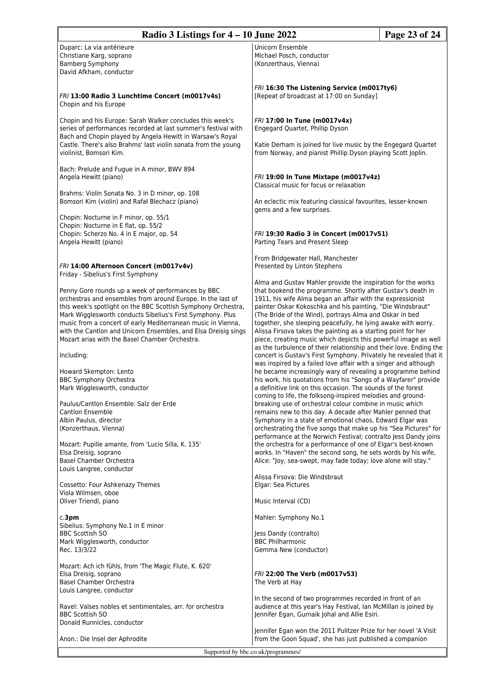| Radio 3 Listings for 4 - 10 June 2022<br>Page 23 of 24                                                                                                                                   |                                                                                                                                |  |
|------------------------------------------------------------------------------------------------------------------------------------------------------------------------------------------|--------------------------------------------------------------------------------------------------------------------------------|--|
| Duparc: La via antérieure                                                                                                                                                                | Unicorn Ensemble                                                                                                               |  |
| Christiane Karg, soprano                                                                                                                                                                 | Michael Posch, conductor                                                                                                       |  |
|                                                                                                                                                                                          |                                                                                                                                |  |
| <b>Bamberg Symphony</b><br>David Afkham, conductor                                                                                                                                       | (Konzerthaus, Vienna)                                                                                                          |  |
|                                                                                                                                                                                          |                                                                                                                                |  |
|                                                                                                                                                                                          | FRI 16:30 The Listening Service (m0017ty6)                                                                                     |  |
| FRI 13:00 Radio 3 Lunchtime Concert (m0017v4s)<br>Chopin and his Europe                                                                                                                  | [Repeat of broadcast at 17:00 on Sunday]                                                                                       |  |
| Chopin and his Europe: Sarah Walker concludes this week's<br>series of performances recorded at last summer's festival with<br>Bach and Chopin played by Angela Hewitt in Warsaw's Royal | FRI 17:00 In Tune (m0017v4x)<br>Engegard Quartet, Phillip Dyson                                                                |  |
| Castle. There's also Brahms' last violin sonata from the young<br>violinist, Bomsori Kim.                                                                                                | Katie Derham is joined for live music by the Engegard Quartet<br>from Norway, and pianist Phillip Dyson playing Scott Joplin.  |  |
| Bach: Prelude and Fugue in A minor, BWV 894                                                                                                                                              |                                                                                                                                |  |
| Angela Hewitt (piano)                                                                                                                                                                    | FRI 19:00 In Tune Mixtape (m0017v4z)                                                                                           |  |
| Brahms: Violin Sonata No. 3 in D minor, op. 108                                                                                                                                          | Classical music for focus or relaxation                                                                                        |  |
| Bomsori Kim (violin) and Rafał Blechacz (piano)                                                                                                                                          | An eclectic mix featuring classical favourites, lesser-known                                                                   |  |
|                                                                                                                                                                                          | gems and a few surprises.                                                                                                      |  |
| Chopin: Nocturne in F minor, op. 55/1                                                                                                                                                    |                                                                                                                                |  |
| Chopin: Nocturne in E flat, op. 55/2                                                                                                                                                     |                                                                                                                                |  |
| Chopin: Scherzo No. 4 in E major, op. 54<br>Angela Hewitt (piano)                                                                                                                        | FRI 19:30 Radio 3 in Concert (m0017v51)<br>Parting Tears and Present Sleep                                                     |  |
|                                                                                                                                                                                          |                                                                                                                                |  |
|                                                                                                                                                                                          | From Bridgewater Hall, Manchester                                                                                              |  |
| FRI 14:00 Afternoon Concert (m0017v4v)                                                                                                                                                   | Presented by Linton Stephens                                                                                                   |  |
| Friday - Sibelius's First Symphony                                                                                                                                                       |                                                                                                                                |  |
| Penny Gore rounds up a week of performances by BBC                                                                                                                                       | Alma and Gustav Mahler provide the inspiration for the works<br>that bookend the programme. Shortly after Gustav's death in    |  |
|                                                                                                                                                                                          |                                                                                                                                |  |
| orchestras and ensembles from around Europe. In the last of                                                                                                                              | 1911, his wife Alma began an affair with the expressionist                                                                     |  |
| this week's spotlight on the BBC Scottish Symphony Orchestra,                                                                                                                            | painter Oskar Kokoschka and his painting, "Die Windsbraut"                                                                     |  |
| Mark Wigglesworth conducts Sibelius's First Symphony. Plus<br>music from a concert of early Mediterranean music in Vienna,                                                               | (The Bride of the Wind), portrays Alma and Oskar in bed                                                                        |  |
| with the Cantlon and Unicorn Ensembles, and Elsa Dreisig sings                                                                                                                           | together, she sleeping peacefully, he lying awake with worry.<br>Alissa Firsova takes the painting as a starting point for her |  |
| Mozart arias with the Basel Chamber Orchestra.                                                                                                                                           | piece, creating music which depicts this powerful image as well                                                                |  |
|                                                                                                                                                                                          | as the turbulence of their relationship and their love. Ending the                                                             |  |
| Including:                                                                                                                                                                               | concert is Gustav's First Symphony. Privately he revealed that it                                                              |  |
|                                                                                                                                                                                          | was inspired by a failed love affair with a singer and although                                                                |  |
| Howard Skempton: Lento                                                                                                                                                                   | he became increasingly wary of revealing a programme behind                                                                    |  |
| <b>BBC Symphony Orchestra</b>                                                                                                                                                            | his work, his quotations from his "Songs of a Wayfarer" provide                                                                |  |
| Mark Wigglesworth, conductor                                                                                                                                                             | a definitive link on this occasion. The sounds of the forest                                                                   |  |
|                                                                                                                                                                                          | coming to life, the folksong-inspired melodies and ground-                                                                     |  |
| Paulus/Cantlon Ensemble: Salz der Erde                                                                                                                                                   | breaking use of orchestral colour combine in music which                                                                       |  |
| <b>Cantion Ensemble</b>                                                                                                                                                                  | remains new to this day. A decade after Mahler penned that                                                                     |  |
| Albin Paulus, director                                                                                                                                                                   | Symphony in a state of emotional chaos, Edward Elgar was                                                                       |  |
| (Konzerthaus, Vienna)                                                                                                                                                                    | orchestrating the five songs that make up his "Sea Pictures" for                                                               |  |
|                                                                                                                                                                                          | performance at the Norwich Festival; contralto Jess Dandy joins                                                                |  |
| Mozart: Pupille amante, from 'Lucio Silla, K. 135'                                                                                                                                       | the orchestra for a performance of one of Elgar's best-known                                                                   |  |
| Elsa Dreisig, soprano                                                                                                                                                                    | works. In "Haven" the second song, he sets words by his wife,                                                                  |  |
| <b>Basel Chamber Orchestra</b>                                                                                                                                                           | Alice: "Joy, sea-swept, may fade today; love alone will stay."                                                                 |  |
| Louis Langree, conductor                                                                                                                                                                 |                                                                                                                                |  |
|                                                                                                                                                                                          | Alissa Firsova: Die Windsbraut                                                                                                 |  |
| Cossetto: Four Ashkenazy Themes<br>Viola Wilmsen, oboe                                                                                                                                   | Elgar: Sea Pictures                                                                                                            |  |
| Oliver Triendl, piano                                                                                                                                                                    | Music Interval (CD)                                                                                                            |  |
|                                                                                                                                                                                          |                                                                                                                                |  |
| $c.3$ pm                                                                                                                                                                                 | Mahler: Symphony No.1                                                                                                          |  |
| Sibelius: Symphony No.1 in E minor                                                                                                                                                       |                                                                                                                                |  |
| <b>BBC Scottish SO</b>                                                                                                                                                                   | Jess Dandy (contralto)                                                                                                         |  |
| Mark Wigglesworth, conductor                                                                                                                                                             | <b>BBC Philharmonic</b>                                                                                                        |  |
| Rec. 13/3/22                                                                                                                                                                             | Gemma New (conductor)                                                                                                          |  |
| Mozart: Ach ich fühls, from 'The Magic Flute, K. 620'                                                                                                                                    |                                                                                                                                |  |
| Elsa Dreisig, soprano                                                                                                                                                                    | FRI 22:00 The Verb (m0017v53)                                                                                                  |  |
| Basel Chamber Orchestra                                                                                                                                                                  | The Verb at Hay                                                                                                                |  |
| Louis Langree, conductor                                                                                                                                                                 |                                                                                                                                |  |
|                                                                                                                                                                                          | In the second of two programmes recorded in front of an                                                                        |  |
| Ravel: Valses nobles et sentimentales, arr. for orchestra                                                                                                                                | audience at this year's Hay Festival, Ian McMillan is joined by                                                                |  |
| <b>BBC Scottish SO</b>                                                                                                                                                                   | Jennifer Egan, Gurnaik Johal and Allie Esiri.                                                                                  |  |
| Donald Runnicles, conductor                                                                                                                                                              |                                                                                                                                |  |

Anon.: Die Insel der Aphrodite

Supported by bbc.co.uk/programmes/

Jennifer Egan won the 2011 Pulitzer Prize for her novel 'A Visit from the Goon Squad', she has just published a companion